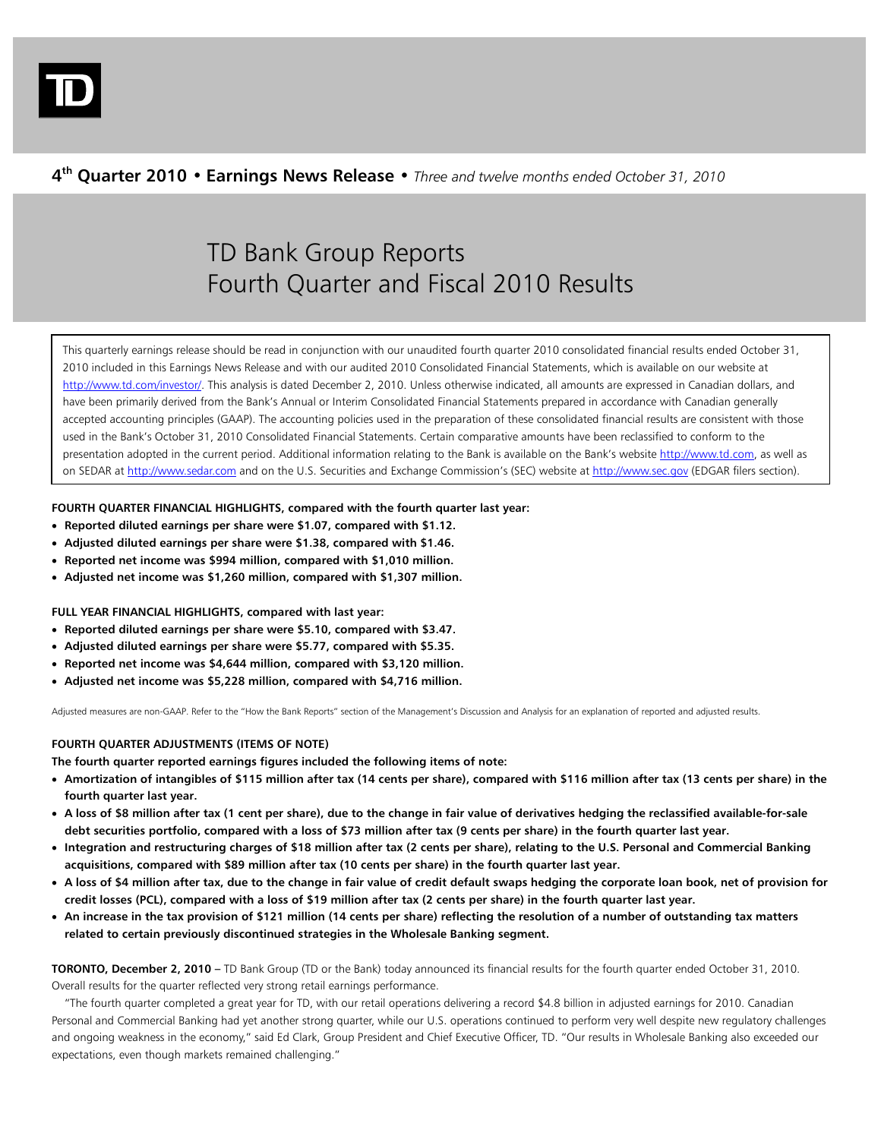

# **4th Quarter 2010 • Earnings News Release •** *Three and twelve months ended October 31, 2010*

# TD Bank Group Reports Fourth Quarter and Fiscal 2010 Results

This quarterly earnings release should be read in conjunction with our unaudited fourth quarter 2010 consolidated financial results ended October 31, 2010 included in this Earnings News Release and with our audited 2010 Consolidated Financial Statements, which is available on our website at http://www.td.com/investor/. This analysis is dated December 2, 2010. Unless otherwise indicated, all amounts are expressed in Canadian dollars, and have been primarily derived from the Bank's Annual or Interim Consolidated Financial Statements prepared in accordance with Canadian generally accepted accounting principles (GAAP). The accounting policies used in the preparation of these consolidated financial results are consistent with those used in the Bank's October 31, 2010 Consolidated Financial Statements. Certain comparative amounts have been reclassified to conform to the presentation adopted in the current period. Additional information relating to the Bank is available on the Bank's website http://www.td.com, as well as on SEDAR at http://www.sedar.com and on the U.S. Securities and Exchange Commission's (SEC) website at http://www.sec.gov (EDGAR filers section).

# **FOURTH QUARTER FINANCIAL HIGHLIGHTS, compared with the fourth quarter last year:**

- **Reported diluted earnings per share were \$1.07, compared with \$1.12.**
- **Adjusted diluted earnings per share were \$1.38, compared with \$1.46.**
- **Reported net income was \$994 million, compared with \$1,010 million.**
- **Adjusted net income was \$1,260 million, compared with \$1,307 million.**

**FULL YEAR FINANCIAL HIGHLIGHTS, compared with last year:** 

- **Reported diluted earnings per share were \$5.10, compared with \$3.47.**
- **Adjusted diluted earnings per share were \$5.77, compared with \$5.35.**
- **Reported net income was \$4,644 million, compared with \$3,120 million.**
- **Adjusted net income was \$5,228 million, compared with \$4,716 million.**

Adjusted measures are non-GAAP. Refer to the "How the Bank Reports" section of the Management's Discussion and Analysis for an explanation of reported and adjusted results.

# **FOURTH QUARTER ADJUSTMENTS (ITEMS OF NOTE)**

**The fourth quarter reported earnings figures included the following items of note:** 

- **Amortization of intangibles of \$115 million after tax (14 cents per share), compared with \$116 million after tax (13 cents per share) in the fourth quarter last year.**
- **A loss of \$8 million after tax (1 cent per share), due to the change in fair value of derivatives hedging the reclassified available-for-sale debt securities portfolio, compared with a loss of \$73 million after tax (9 cents per share) in the fourth quarter last year.**
- **Integration and restructuring charges of \$18 million after tax (2 cents per share), relating to the U.S. Personal and Commercial Banking acquisitions, compared with \$89 million after tax (10 cents per share) in the fourth quarter last year.**
- **A loss of \$4 million after tax, due to the change in fair value of credit default swaps hedging the corporate loan book, net of provision for credit losses (PCL), compared with a loss of \$19 million after tax (2 cents per share) in the fourth quarter last year.**
- **An increase in the tax provision of \$121 million (14 cents per share) reflecting the resolution of a number of outstanding tax matters related to certain previously discontinued strategies in the Wholesale Banking segment.**

**TORONTO, December 2, 2010 –** TD Bank Group (TD or the Bank) today announced its financial results for the fourth quarter ended October 31, 2010. Overall results for the quarter reflected very strong retail earnings performance.

 "The fourth quarter completed a great year for TD, with our retail operations delivering a record \$4.8 billion in adjusted earnings for 2010. Canadian Personal and Commercial Banking had yet another strong quarter, while our U.S. operations continued to perform very well despite new regulatory challenges and ongoing weakness in the economy," said Ed Clark, Group President and Chief Executive Officer, TD. "Our results in Wholesale Banking also exceeded our expectations, even though markets remained challenging."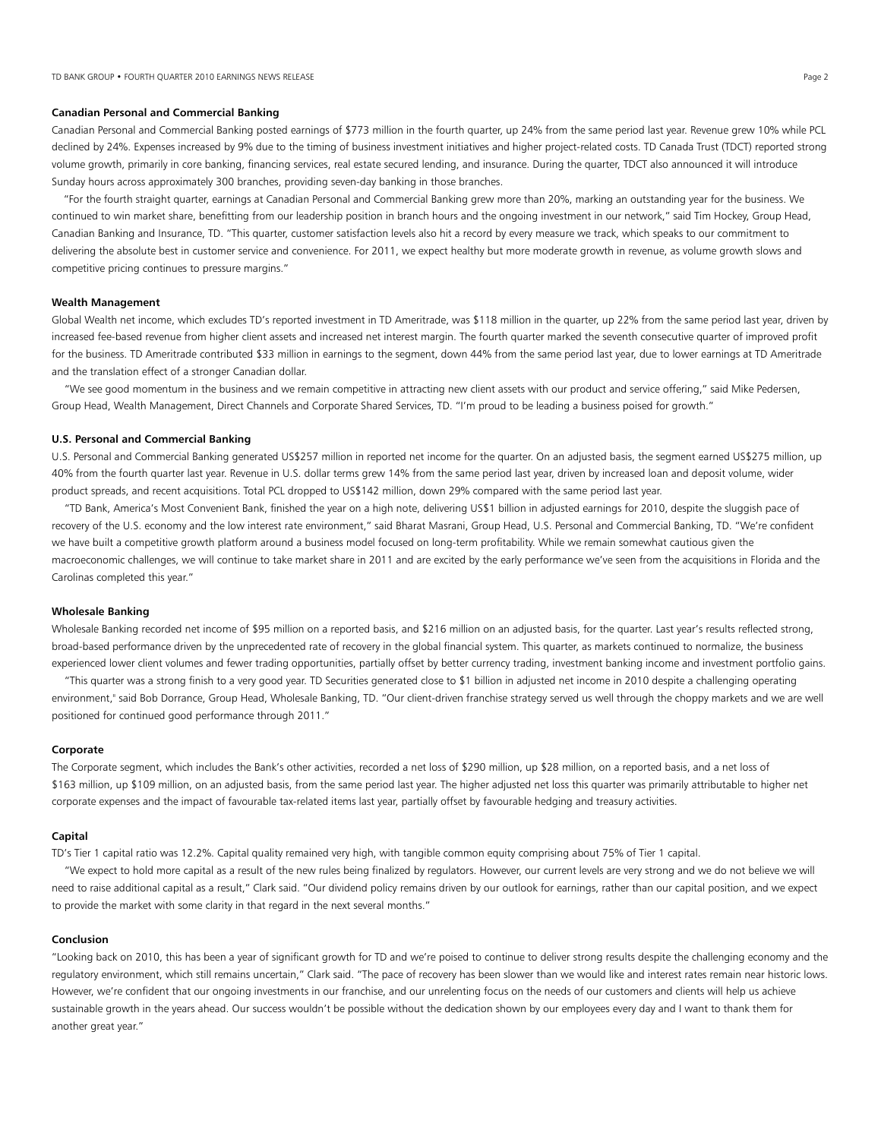#### **Canadian Personal and Commercial Banking**

Canadian Personal and Commercial Banking posted earnings of \$773 million in the fourth quarter, up 24% from the same period last year. Revenue grew 10% while PCL declined by 24%. Expenses increased by 9% due to the timing of business investment initiatives and higher project-related costs. TD Canada Trust (TDCT) reported strong volume growth, primarily in core banking, financing services, real estate secured lending, and insurance. During the quarter, TDCT also announced it will introduce Sunday hours across approximately 300 branches, providing seven-day banking in those branches.

 "For the fourth straight quarter, earnings at Canadian Personal and Commercial Banking grew more than 20%, marking an outstanding year for the business. We continued to win market share, benefitting from our leadership position in branch hours and the ongoing investment in our network," said Tim Hockey, Group Head, Canadian Banking and Insurance, TD. "This quarter, customer satisfaction levels also hit a record by every measure we track, which speaks to our commitment to delivering the absolute best in customer service and convenience. For 2011, we expect healthy but more moderate growth in revenue, as volume growth slows and competitive pricing continues to pressure margins."

#### **Wealth Management**

Global Wealth net income, which excludes TD's reported investment in TD Ameritrade, was \$118 million in the quarter, up 22% from the same period last year, driven by increased fee-based revenue from higher client assets and increased net interest margin. The fourth quarter marked the seventh consecutive quarter of improved profit for the business. TD Ameritrade contributed \$33 million in earnings to the segment, down 44% from the same period last year, due to lower earnings at TD Ameritrade and the translation effect of a stronger Canadian dollar.

 "We see good momentum in the business and we remain competitive in attracting new client assets with our product and service offering," said Mike Pedersen, Group Head, Wealth Management, Direct Channels and Corporate Shared Services, TD. "I'm proud to be leading a business poised for growth."

#### **U.S. Personal and Commercial Banking**

U.S. Personal and Commercial Banking generated US\$257 million in reported net income for the quarter. On an adjusted basis, the segment earned US\$275 million, up 40% from the fourth quarter last year. Revenue in U.S. dollar terms grew 14% from the same period last year, driven by increased loan and deposit volume, wider product spreads, and recent acquisitions. Total PCL dropped to US\$142 million, down 29% compared with the same period last year.

 "TD Bank, America's Most Convenient Bank, finished the year on a high note, delivering US\$1 billion in adjusted earnings for 2010, despite the sluggish pace of recovery of the U.S. economy and the low interest rate environment," said Bharat Masrani, Group Head, U.S. Personal and Commercial Banking, TD. "We're confident we have built a competitive growth platform around a business model focused on long-term profitability. While we remain somewhat cautious given the macroeconomic challenges, we will continue to take market share in 2011 and are excited by the early performance we've seen from the acquisitions in Florida and the Carolinas completed this year."

#### **Wholesale Banking**

Wholesale Banking recorded net income of \$95 million on a reported basis, and \$216 million on an adjusted basis, for the quarter. Last year's results reflected strong, broad-based performance driven by the unprecedented rate of recovery in the global financial system. This quarter, as markets continued to normalize, the business experienced lower client volumes and fewer trading opportunities, partially offset by better currency trading, investment banking income and investment portfolio gains.

 "This quarter was a strong finish to a very good year. TD Securities generated close to \$1 billion in adjusted net income in 2010 despite a challenging operating environment," said Bob Dorrance, Group Head, Wholesale Banking, TD. "Our client-driven franchise strategy served us well through the choppy markets and we are well positioned for continued good performance through 2011."

#### **Corporate**

The Corporate segment, which includes the Bank's other activities, recorded a net loss of \$290 million, up \$28 million, on a reported basis, and a net loss of \$163 million, up \$109 million, on an adjusted basis, from the same period last year. The higher adjusted net loss this quarter was primarily attributable to higher net corporate expenses and the impact of favourable tax-related items last year, partially offset by favourable hedging and treasury activities.

#### **Capital**

TD's Tier 1 capital ratio was 12.2%. Capital quality remained very high, with tangible common equity comprising about 75% of Tier 1 capital.

 "We expect to hold more capital as a result of the new rules being finalized by regulators. However, our current levels are very strong and we do not believe we will need to raise additional capital as a result," Clark said. "Our dividend policy remains driven by our outlook for earnings, rather than our capital position, and we expect to provide the market with some clarity in that regard in the next several months."

#### **Conclusion**

"Looking back on 2010, this has been a year of significant growth for TD and we're poised to continue to deliver strong results despite the challenging economy and the regulatory environment, which still remains uncertain," Clark said. "The pace of recovery has been slower than we would like and interest rates remain near historic lows. However, we're confident that our ongoing investments in our franchise, and our unrelenting focus on the needs of our customers and clients will help us achieve sustainable growth in the years ahead. Our success wouldn't be possible without the dedication shown by our employees every day and I want to thank them for another great year."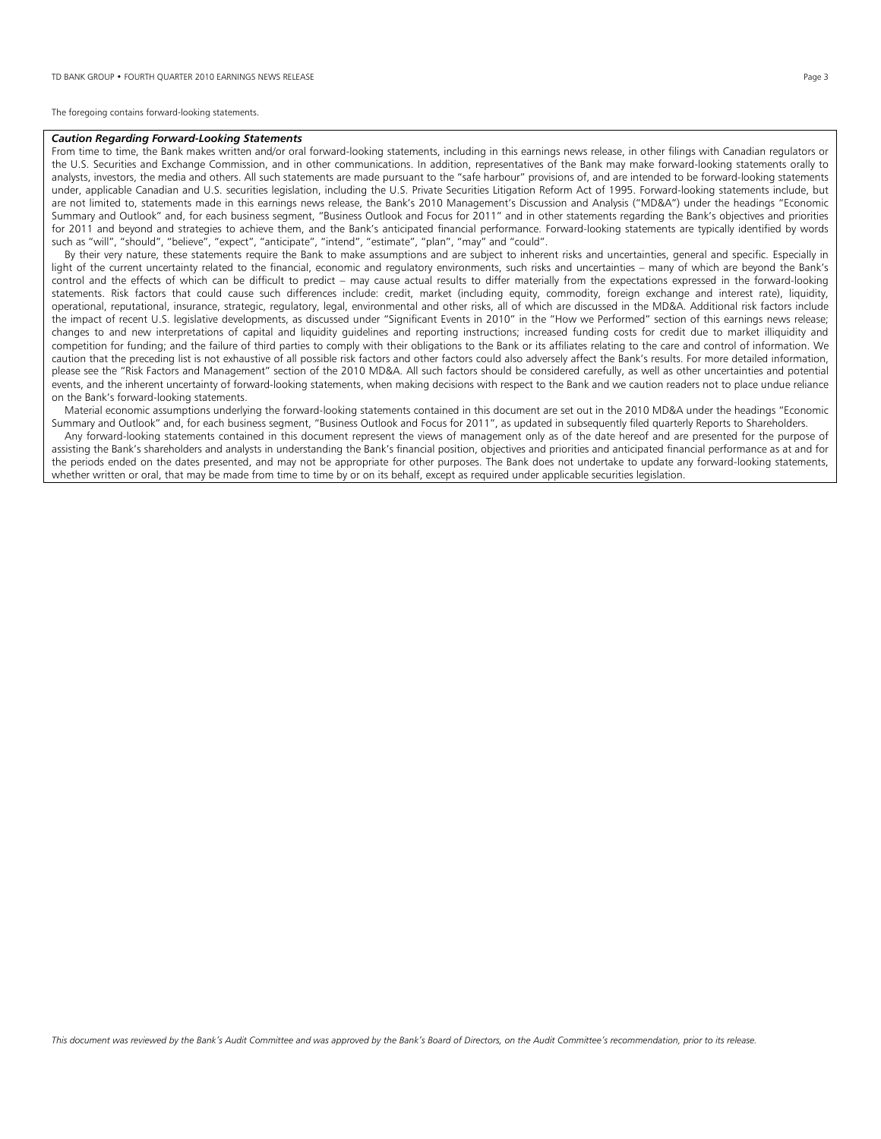The foregoing contains forward-looking statements.

#### *Caution Regarding Forward-Looking Statements*

From time to time, the Bank makes written and/or oral forward-looking statements, including in this earnings news release, in other filings with Canadian regulators or the U.S. Securities and Exchange Commission, and in other communications. In addition, representatives of the Bank may make forward-looking statements orally to analysts, investors, the media and others. All such statements are made pursuant to the "safe harbour" provisions of, and are intended to be forward-looking statements under, applicable Canadian and U.S. securities legislation, including the U.S. Private Securities Litigation Reform Act of 1995. Forward-looking statements include, but are not limited to, statements made in this earnings news release, the Bank's 2010 Management's Discussion and Analysis ("MD&A") under the headings "Economic Summary and Outlook" and, for each business segment, "Business Outlook and Focus for 2011" and in other statements regarding the Bank's objectives and priorities for 2011 and beyond and strategies to achieve them, and the Bank's anticipated financial performance. Forward-looking statements are typically identified by words such as "will", "should", "believe", "expect", "anticipate", "intend", "estimate", "plan", "may" and "could".

 By their very nature, these statements require the Bank to make assumptions and are subject to inherent risks and uncertainties, general and specific. Especially in light of the current uncertainty related to the financial, economic and regulatory environments, such risks and uncertainties – many of which are beyond the Bank's control and the effects of which can be difficult to predict – may cause actual results to differ materially from the expectations expressed in the forward-looking statements. Risk factors that could cause such differences include: credit, market (including equity, commodity, foreign exchange and interest rate), liquidity, operational, reputational, insurance, strategic, regulatory, legal, environmental and other risks, all of which are discussed in the MD&A. Additional risk factors include the impact of recent U.S. legislative developments, as discussed under "Significant Events in 2010" in the "How we Performed" section of this earnings news release; changes to and new interpretations of capital and liquidity guidelines and reporting instructions; increased funding costs for credit due to market illiquidity and competition for funding; and the failure of third parties to comply with their obligations to the Bank or its affiliates relating to the care and control of information. We caution that the preceding list is not exhaustive of all possible risk factors and other factors could also adversely affect the Bank's results. For more detailed information, please see the "Risk Factors and Management" section of the 2010 MD&A. All such factors should be considered carefully, as well as other uncertainties and potential events, and the inherent uncertainty of forward-looking statements, when making decisions with respect to the Bank and we caution readers not to place undue reliance on the Bank's forward-looking statements.

 Material economic assumptions underlying the forward-looking statements contained in this document are set out in the 2010 MD&A under the headings "Economic Summary and Outlook" and, for each business segment, "Business Outlook and Focus for 2011", as updated in subsequently filed quarterly Reports to Shareholders.

 Any forward-looking statements contained in this document represent the views of management only as of the date hereof and are presented for the purpose of assisting the Bank's shareholders and analysts in understanding the Bank's financial position, objectives and priorities and anticipated financial performance as at and for the periods ended on the dates presented, and may not be appropriate for other purposes. The Bank does not undertake to update any forward-looking statements, whether written or oral, that may be made from time to time by or on its behalf, except as required under applicable securities legislation.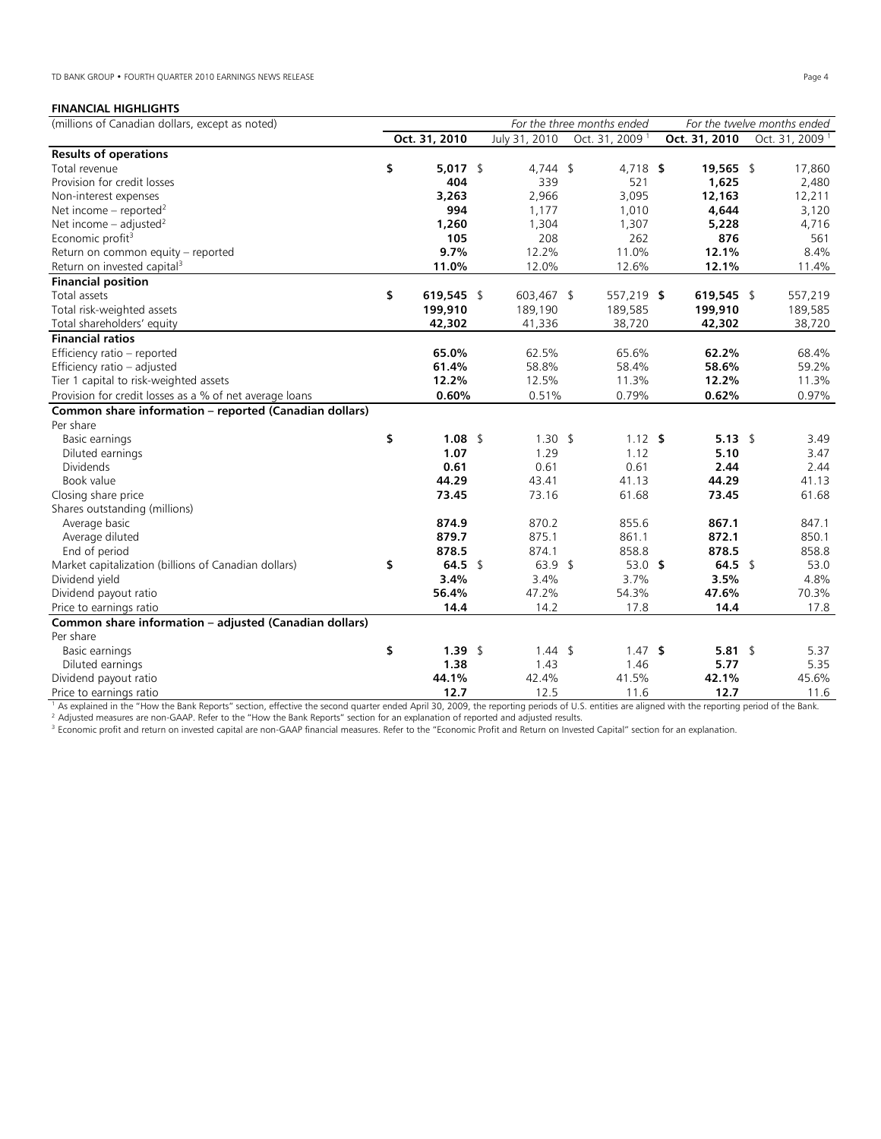# **FINANCIAL HIGHLIGHTS**

| (millions of Canadian dollars, except as noted)         |    |               |  |                    | For the three months ended |            |               | For the twelve months ended |  |
|---------------------------------------------------------|----|---------------|--|--------------------|----------------------------|------------|---------------|-----------------------------|--|
|                                                         |    | Oct. 31, 2010 |  | July 31, 2010      | Oct. 31, 2009 <sup>1</sup> |            | Oct. 31, 2010 | Oct. 31, 2009 <sup>1</sup>  |  |
| <b>Results of operations</b>                            |    |               |  |                    |                            |            |               |                             |  |
| Total revenue                                           | \$ | $5,017$ \$    |  | $4,744$ \$         |                            | 4,718 \$   | 19,565 \$     | 17,860                      |  |
| Provision for credit losses                             |    | 404           |  | 339                |                            | 521        | 1,625         | 2,480                       |  |
| Non-interest expenses                                   |    | 3,263         |  | 2,966              |                            | 3,095      | 12,163        | 12,211                      |  |
| Net income – reported <sup>2</sup>                      |    | 994           |  | 1,177              |                            | 1,010      | 4,644         | 3,120                       |  |
| Net income – adjusted <sup>2</sup>                      |    | 1,260         |  | 1,304              |                            | 1,307      | 5,228         | 4,716                       |  |
| Economic profit <sup>3</sup>                            |    | 105           |  | 208                |                            | 262        | 876           | 561                         |  |
| Return on common equity - reported                      |    | 9.7%          |  | 12.2%              |                            | 11.0%      | 12.1%         | 8.4%                        |  |
| Return on invested capital <sup>3</sup>                 |    | 11.0%         |  | 12.0%              |                            | 12.6%      | 12.1%         | 11.4%                       |  |
| <b>Financial position</b>                               |    |               |  |                    |                            |            |               |                             |  |
| Total assets                                            | \$ | 619,545 \$    |  | 603,467 \$         |                            | 557,219 \$ | 619,545 \$    | 557,219                     |  |
| Total risk-weighted assets                              |    | 199,910       |  | 189,190            |                            | 189,585    | 199,910       | 189,585                     |  |
| Total shareholders' equity                              |    | 42,302        |  | 41,336             |                            | 38,720     | 42,302        | 38,720                      |  |
| <b>Financial ratios</b>                                 |    |               |  |                    |                            |            |               |                             |  |
| Efficiency ratio - reported                             |    | 65.0%         |  | 62.5%              |                            | 65.6%      | 62.2%         | 68.4%                       |  |
| Efficiency ratio - adjusted                             |    | 61.4%         |  | 58.8%              |                            | 58.4%      | 58.6%         | 59.2%                       |  |
| Tier 1 capital to risk-weighted assets                  |    | 12.2%         |  | 12.5%              |                            | 11.3%      | 12.2%         | 11.3%                       |  |
| Provision for credit losses as a % of net average loans |    | 0.60%         |  | 0.51%              |                            | 0.79%      | 0.62%         | 0.97%                       |  |
| Common share information - reported (Canadian dollars)  |    |               |  |                    |                            |            |               |                             |  |
| Per share                                               |    |               |  |                    |                            |            |               |                             |  |
| Basic earnings                                          | \$ | $1.08$ \$     |  | $1.30 \text{ }$    |                            | $1.12$ \$  | $5.13$ \$     | 3.49                        |  |
| Diluted earnings                                        |    | 1.07          |  | 1.29               |                            | 1.12       | 5.10          | 3.47                        |  |
| <b>Dividends</b>                                        |    | 0.61          |  | 0.61               |                            | 0.61       | 2.44          | 2.44                        |  |
| Book value                                              |    | 44.29         |  | 43.41              |                            | 41.13      | 44.29         | 41.13                       |  |
| Closing share price                                     |    | 73.45         |  | 73.16              |                            | 61.68      | 73.45         | 61.68                       |  |
| Shares outstanding (millions)                           |    |               |  |                    |                            |            |               |                             |  |
| Average basic                                           |    | 874.9         |  | 870.2              |                            | 855.6      | 867.1         | 847.1                       |  |
| Average diluted                                         |    | 879.7         |  | 875.1              |                            | 861.1      | 872.1         | 850.1                       |  |
| End of period                                           |    | 878.5         |  | 874.1              |                            | 858.8      | 878.5         | 858.8                       |  |
| Market capitalization (billions of Canadian dollars)    | \$ | 64.5 \$       |  | $63.9$ \$          |                            | $53.0$ \$  | 64.5 \$       | 53.0                        |  |
| Dividend yield                                          |    | 3.4%          |  | 3.4%               |                            | 3.7%       | 3.5%          | 4.8%                        |  |
| Dividend payout ratio                                   |    | 56.4%         |  | 47.2%              |                            | 54.3%      | 47.6%         | 70.3%                       |  |
| Price to earnings ratio                                 |    | 14.4          |  | 14.2               |                            | 17.8       | 14.4          | 17.8                        |  |
| Common share information - adjusted (Canadian dollars)  |    |               |  |                    |                            |            |               |                             |  |
| Per share                                               |    |               |  |                    |                            |            |               |                             |  |
| Basic earnings                                          | \$ | $1.39$ \$     |  | $1.44 \text{ } $5$ |                            | $1.47$ \$  | $5.81$ \$     | 5.37                        |  |
| Diluted earnings                                        |    | 1.38          |  | 1.43               |                            | 1.46       | 5.77          | 5.35                        |  |
| Dividend payout ratio                                   |    | 44.1%         |  | 42.4%              |                            | 41.5%      | 42.1%         | 45.6%                       |  |
| Price to earnings ratio                                 |    | 12.7          |  | 12.5               |                            | 11.6       | 12.7          | 11.6                        |  |

The columny ratio control and Reports" section, effective the second quarter ended April 30, 2009, the reporting periods of U.S. entities are aligned with the reporting period of the Bank.<br>
<sup>2</sup> Adjusted measures are non-GA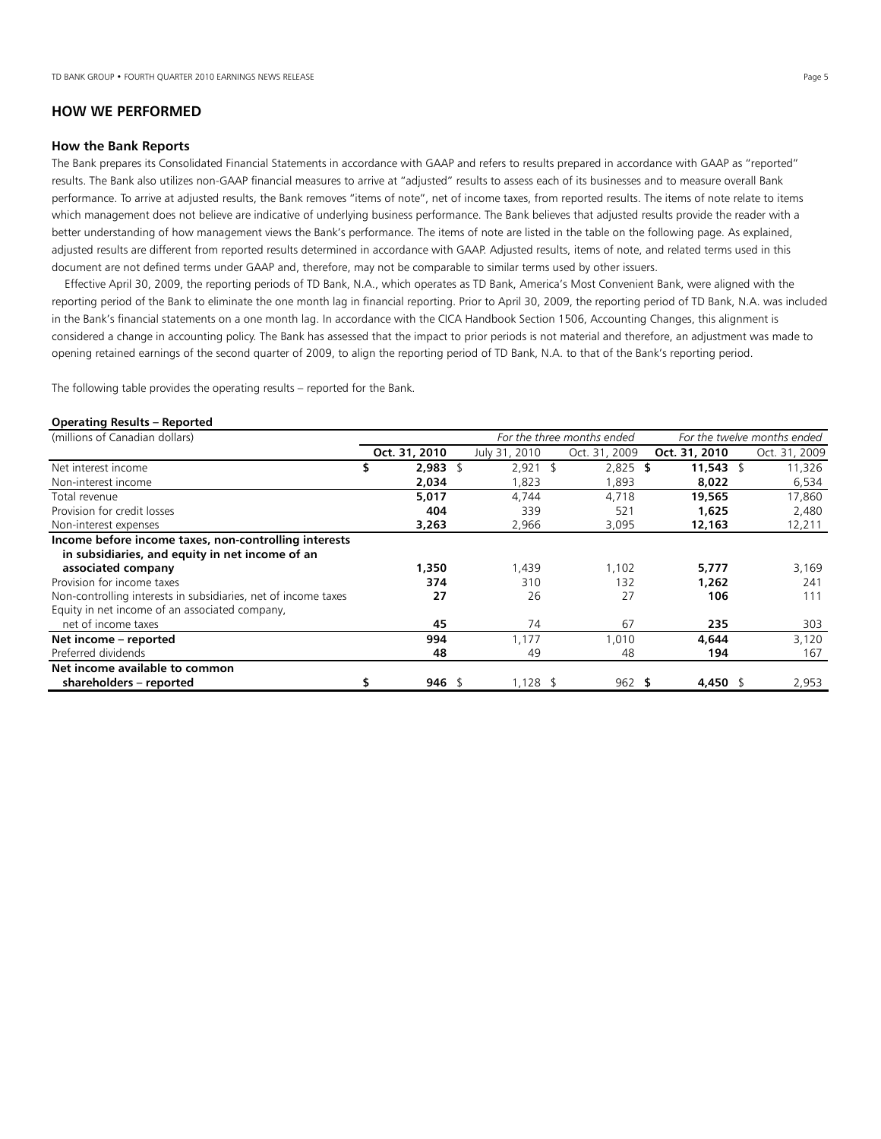# **HOW WE PERFORMED**

## **How the Bank Reports**

The Bank prepares its Consolidated Financial Statements in accordance with GAAP and refers to results prepared in accordance with GAAP as "reported" results. The Bank also utilizes non-GAAP financial measures to arrive at "adjusted" results to assess each of its businesses and to measure overall Bank performance. To arrive at adjusted results, the Bank removes "items of note", net of income taxes, from reported results. The items of note relate to items which management does not believe are indicative of underlying business performance. The Bank believes that adjusted results provide the reader with a better understanding of how management views the Bank's performance. The items of note are listed in the table on the following page. As explained, adjusted results are different from reported results determined in accordance with GAAP. Adjusted results, items of note, and related terms used in this document are not defined terms under GAAP and, therefore, may not be comparable to similar terms used by other issuers.

 Effective April 30, 2009, the reporting periods of TD Bank, N.A., which operates as TD Bank, America's Most Convenient Bank, were aligned with the reporting period of the Bank to eliminate the one month lag in financial reporting. Prior to April 30, 2009, the reporting period of TD Bank, N.A. was included in the Bank's financial statements on a one month lag. In accordance with the CICA Handbook Section 1506, Accounting Changes, this alignment is considered a change in accounting policy. The Bank has assessed that the impact to prior periods is not material and therefore, an adjustment was made to opening retained earnings of the second quarter of 2009, to align the reporting period of TD Bank, N.A. to that of the Bank's reporting period.

The following table provides the operating results – reported for the Bank.

#### **Operating Results – Reported**

| (millions of Canadian dollars)                                 |   |               |               | For the three months ended |               | For the twelve months ended |  |  |
|----------------------------------------------------------------|---|---------------|---------------|----------------------------|---------------|-----------------------------|--|--|
|                                                                |   | Oct. 31, 2010 | July 31, 2010 | Oct. 31, 2009              | Oct. 31, 2010 | Oct. 31, 2009               |  |  |
| Net interest income                                            | S | 2,983<br>\$   | $2,921$ \$    | $2,825$ \$                 | 11,543 \$     | 11,326                      |  |  |
| Non-interest income                                            |   | 2,034         | 823,          | 1,893                      | 8,022         | 6,534                       |  |  |
| Total revenue                                                  |   | 5,017         | 4.744         | 4.718                      | 19,565        | 17,860                      |  |  |
| Provision for credit losses                                    |   | 404           | 339           | 521                        | 1,625         | 2,480                       |  |  |
| Non-interest expenses                                          |   | 3,263         | 2,966         | 3,095                      | 12,163        | 12,211                      |  |  |
| Income before income taxes, non-controlling interests          |   |               |               |                            |               |                             |  |  |
| in subsidiaries, and equity in net income of an                |   |               |               |                            |               |                             |  |  |
| associated company                                             |   | 1,350         | 1,439         | 1,102                      | 5,777         | 3,169                       |  |  |
| Provision for income taxes                                     |   | 374           | 310           | 132                        | 1.262         | 241                         |  |  |
| Non-controlling interests in subsidiaries, net of income taxes |   | 27            | 26            | 27                         | 106           | 111                         |  |  |
| Equity in net income of an associated company,                 |   |               |               |                            |               |                             |  |  |
| net of income taxes                                            |   | 45            | 74            | 67                         | 235           | 303                         |  |  |
| Net income - reported                                          |   | 994           | 1,177         | 1,010                      | 4.644         | 3,120                       |  |  |
| Preferred dividends                                            |   | 48            | 49            | 48                         | 194           | 167                         |  |  |
| Net income available to common                                 |   |               |               |                            |               |                             |  |  |
| shareholders - reported                                        |   | $946$ \$      | $1,128$ \$    | 962 S                      | 4,450 \$      | 2,953                       |  |  |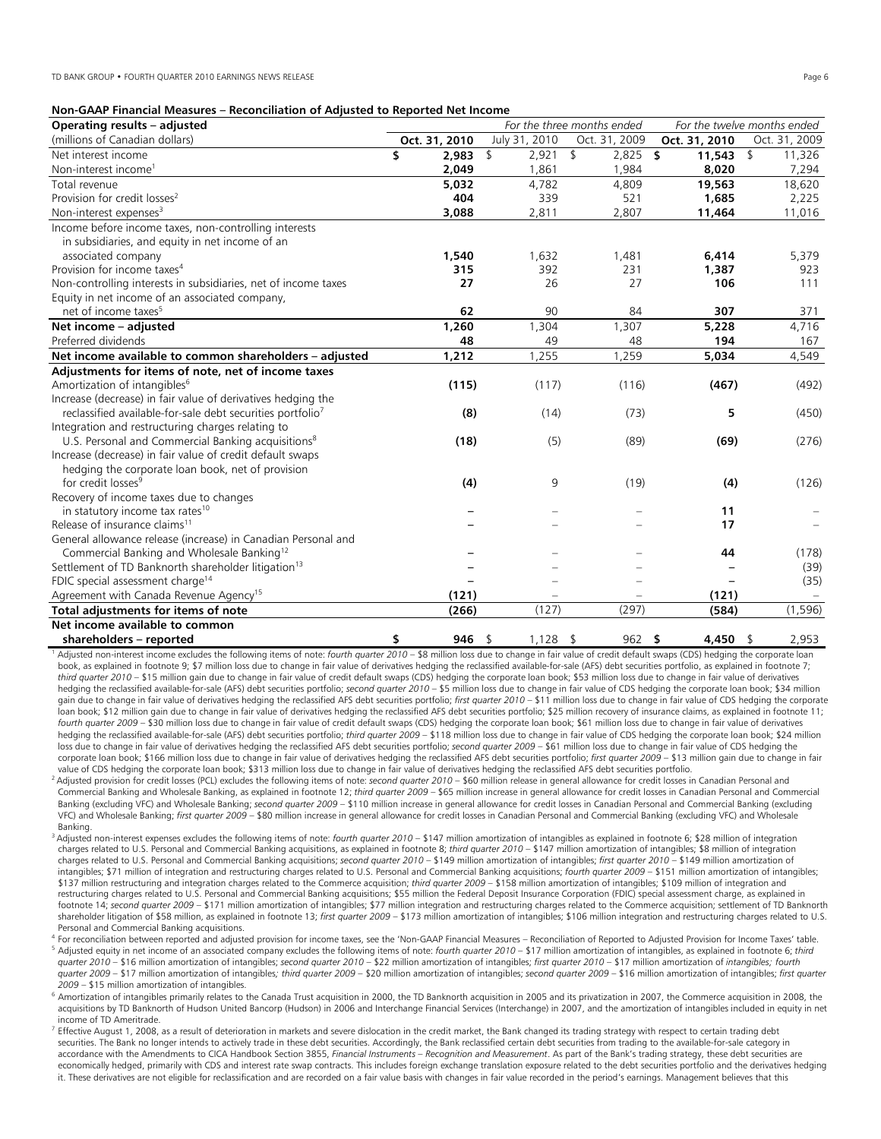| Operating results - adjusted                                           |               |               | For the three months ended | For the twelve months ended |                         |  |  |
|------------------------------------------------------------------------|---------------|---------------|----------------------------|-----------------------------|-------------------------|--|--|
| (millions of Canadian dollars)                                         | Oct. 31, 2010 | July 31, 2010 | Oct. 31, 2009              | Oct. 31, 2010               | Oct. 31, 2009           |  |  |
| Net interest income                                                    | \$<br>2,983   | \$<br>2,921   | \$<br>$2,825$ \$           | 11,543                      | $\mathcal{L}$<br>11,326 |  |  |
| Non-interest income <sup>1</sup>                                       | 2,049         | 1,861         | 1.984                      | 8,020                       | 7,294                   |  |  |
| Total revenue                                                          | 5,032         | 4,782         | 4,809                      | 19,563                      | 18,620                  |  |  |
| Provision for credit losses <sup>2</sup>                               | 404           | 339           | 521                        | 1,685                       | 2,225                   |  |  |
| Non-interest expenses <sup>3</sup>                                     | 3,088         | 2,811         | 2,807                      | 11,464                      | 11,016                  |  |  |
| Income before income taxes, non-controlling interests                  |               |               |                            |                             |                         |  |  |
| in subsidiaries, and equity in net income of an                        |               |               |                            |                             |                         |  |  |
| associated company                                                     | 1,540         | 1,632         | 1,481                      | 6,414                       | 5,379                   |  |  |
| Provision for income taxes <sup>4</sup>                                | 315           | 392           | 231                        | 1,387                       | 923                     |  |  |
| Non-controlling interests in subsidiaries, net of income taxes         | 27            | 26            | 27                         | 106                         | 111                     |  |  |
| Equity in net income of an associated company,                         |               |               |                            |                             |                         |  |  |
| net of income taxes <sup>5</sup>                                       | 62            | 90            | 84                         | 307                         | 371                     |  |  |
| Net income - adjusted                                                  | 1,260         | 1,304         | 1,307                      | 5,228                       | 4,716                   |  |  |
| Preferred dividends                                                    | 48            | 49            | 48                         | 194                         | 167                     |  |  |
| Net income available to common shareholders - adjusted                 | 1,212         | 1,255         | 1,259                      | 5,034                       | 4,549                   |  |  |
| Adjustments for items of note, net of income taxes                     |               |               |                            |                             |                         |  |  |
| Amortization of intangibles <sup>6</sup>                               | (115)         | (117)         | (116)                      | (467)                       | (492)                   |  |  |
| Increase (decrease) in fair value of derivatives hedging the           |               |               |                            |                             |                         |  |  |
| reclassified available-for-sale debt securities portfolio <sup>7</sup> | (8)           | (14)          | (73)                       | 5                           | (450)                   |  |  |
| Integration and restructuring charges relating to                      |               |               |                            |                             |                         |  |  |
| U.S. Personal and Commercial Banking acquisitions <sup>8</sup>         | (18)          | (5)           | (89)                       | (69)                        | (276)                   |  |  |
| Increase (decrease) in fair value of credit default swaps              |               |               |                            |                             |                         |  |  |
| hedging the corporate loan book, net of provision                      |               |               |                            |                             |                         |  |  |
| for credit losses <sup>9</sup>                                         | (4)           | 9             | (19)                       | (4)                         | (126)                   |  |  |
| Recovery of income taxes due to changes                                |               |               |                            |                             |                         |  |  |
| in statutory income tax rates <sup>10</sup>                            |               |               |                            | 11                          |                         |  |  |
| Release of insurance claims <sup>11</sup>                              |               |               |                            | 17                          |                         |  |  |
| General allowance release (increase) in Canadian Personal and          |               |               |                            |                             |                         |  |  |
| Commercial Banking and Wholesale Banking <sup>12</sup>                 |               |               |                            | 44                          | (178)                   |  |  |
| Settlement of TD Banknorth shareholder litigation <sup>13</sup>        |               |               |                            |                             | (39)                    |  |  |
| FDIC special assessment charge <sup>14</sup>                           |               |               |                            |                             | (35)                    |  |  |
| Agreement with Canada Revenue Agency <sup>15</sup>                     | (121)         |               |                            | (121)                       |                         |  |  |
| Total adjustments for items of note                                    | (266)         | (127)         | (297)                      | (584)                       | (1,596)                 |  |  |
| Net income available to common                                         |               |               |                            |                             |                         |  |  |
| والمستحدث ويتمرض والمتحدث المستلم والمستحدث والمناد                    | 0.85          | 1.120         | 0 <sup>0</sup>             | $\overline{ }$              | n orn                   |  |  |

**Shareholders – reported** entity of the soft of the soft of the soft of the soft of the soft of the soft of the soft of the soft of the soft of the soft of the soft of the soft of the soft of the soft of the soft of the s book, as explained in footnote 9; \$7 million loss due to change in fair value of derivatives hedging the reclassified available-for-sale (AFS) debt securities portfolio, as explained in footnote 7; *third quarter 2010* – \$15 million gain due to change in fair value of credit default swaps (CDS) hedging the corporate loan book; \$53 million loss due to change in fair value of derivatives hedging the reclassified available-for-sale (AFS) debt securities portfolio; *second quarter 2010* – \$5 million loss due to change in fair value of CDS hedging the corporate loan book; \$34 million gain due to change in fair value of derivatives hedging the reclassified AFS debt securities portfolio; *first quarter 2010* – \$11 million loss due to change in fair value of CDS hedging the corporate loan book; \$12 million gain due to change in fair value of derivatives hedging the reclassified AFS debt securities portfolio; \$25 million recovery of insurance claims, as explained in footnote 11; *fourth quarter 2009* – \$30 million loss due to change in fair value of credit default swaps (CDS) hedging the corporate loan book; \$61 million loss due to change in fair value of derivatives hedging the reclassified available-for-sale (AFS) debt securities portfolio; *third quarter 2009* – \$118 million loss due to change in fair value of CDS hedging the corporate loan book; \$24 million loss due to change in fair value of derivatives hedging the reclassified AFS debt securities portfolio; *second quarter 2009* – \$61 million loss due to change in fair value of CDS hedging the corporate loan book; \$166 million loss due to change in fair value of derivatives hedging the reclassified AFS debt securities portfolio; *first quarter 2009* – \$13 million gain due to change in fair value of CDS hedging the corporate loan book; \$313 million loss due to change in fair value of derivatives hedging the reclassified AFS debt securities portfolio.<br><sup>2</sup> Adjusted provision for credit losses (PCL) excludes the

- Commercial Banking and Wholesale Banking, as explained in footnote 12; third quarter 2009 \$65 million increase in general allowance for credit losses in Canadian Personal and Commercial Banking (excluding VFC) and Wholesale Banking; *second quarter 2009* – \$110 million increase in general allowance for credit losses in Canadian Personal and Commercial Banking (excluding VFC) and Wholesale Banking; *first quarter 2009* – \$80 million increase in general allowance for credit losses in Canadian Personal and Commercial Banking (excluding VFC) and Wholesale Banking.
- 3 Adjusted non-interest expenses excludes the following items of note: *fourth quarter 2010* \$147 million amortization of intangibles as explained in footnote 6; \$28 million of integration charges related to U.S. Personal and Commercial Banking acquisitions, as explained in footnote 8; *third quarter 2010* – \$147 million amortization of intangibles; \$8 million of integration charges related to U.S. Personal and Commercial Banking acquisitions; *second quarter 2010* – \$149 million amortization of intangibles; *first quarter 2010* – \$149 million amortization of intangibles; \$71 million of integration and restructuring charges related to U.S. Personal and Commercial Banking acquisitions; *fourth quarter 2009* – \$151 million amortization of intangibles; \$137 million restructuring and integration charges related to the Commerce acquisition; *third quarter 2009* – \$158 million amortization of intangibles; \$109 million of integration and restructuring charges related to U.S. Personal and Commercial Banking acquisitions; \$55 million the Federal Deposit Insurance Corporation (FDIC) special assessment charge, as explained in footnote 14; *second quarter 2009* – \$171 million amortization of intangibles; \$77 million integration and restructuring charges related to the Commerce acquisition; settlement of TD Banknorth shareholder litigation of \$58 million, as explained in footnote 13; *first quarter 2009* – \$173 million amortization of intangibles; \$106 million integration and restructuring charges related to U.S. Personal and Commercial Banking acquisitions.<br><sup>4</sup> For reconciliation between reported and adjusted provision for income taxes, see the 'Non-GAAP Financial Measures – Reconciliation of Reported to Adjusted Provision for Inc
- <sup>5</sup> Adjusted equity in net income of an associated company excludes the following items of note: fourth quarter 2010 \$17 million amortization of intangibles, as explained in footnote 6; third *quarter 2010 –* \$16 million amortization of intangibles; *second quarter 2010* – \$22 million amortization of intangibles; *first quarter 2010* – \$17 million amortization of *intangibles; fourth quarter 2009 –* \$17 million amortization of intangibles*; third quarter 2009 –* \$20 million amortization of intangibles; *second quarter 2009* – \$16 million amortization of intangibles; *first quarter*
- 2009 \$15 million amortization of intangibles.<br><sup>6</sup> Amortization of intangibles primarily relates to the Canada Trust acquisition in 2000, the TD Banknorth acquisition in 2005 and its privatization in 2007, the Commerce ac acquisitions by TD Banknorth of Hudson United Bancorp (Hudson) in 2006 and Interchange Financial Services (Interchange) in 2007, and the amortization of intangibles included in equity in net income of TD Ameritrade.

 $^7$  Effective August 1, 2008, as a result of deterioration in markets and severe dislocation in the credit market, the Bank changed its trading strategy with respect to certain trading debt securities. The Bank no longer intends to actively trade in these debt securities. Accordingly, the Bank reclassified certain debt securities from trading to the available-for-sale category in<br>accordance with the Amendment economically hedged, primarily with CDS and interest rate swap contracts. This includes foreign exchange translation exposure related to the debt securities portfolio and the derivatives hedging it. These derivatives are not eligible for reclassification and are recorded on a fair value basis with changes in fair value recorded in the period's earnings. Management believes that this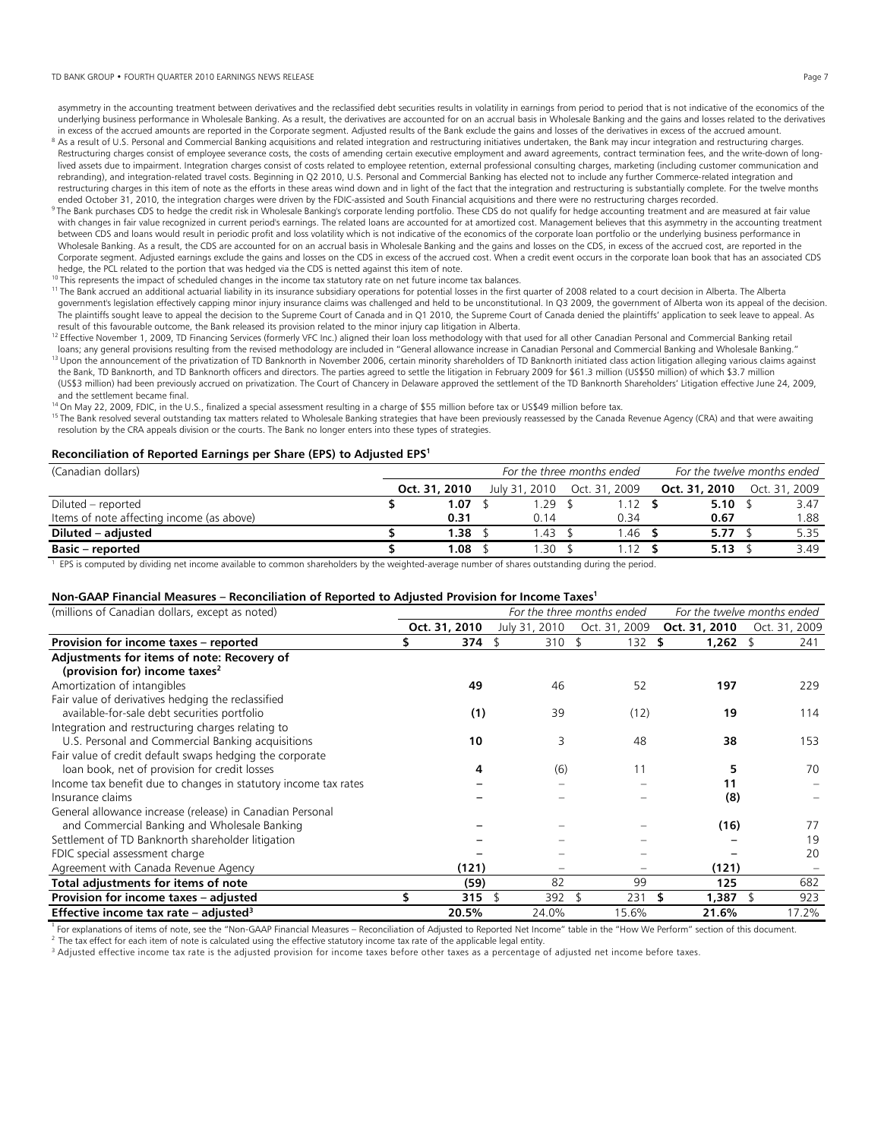#### TD BANK GROUP • FOURTH QUARTER 2010 EARNINGS NEWS RELEASE Page 7

asymmetry in the accounting treatment between derivatives and the reclassified debt securities results in volatility in earnings from period to period that is not indicative of the economics of the underlying business performance in Wholesale Banking. As a result, the derivatives are accounted for on an accrual basis in Wholesale Banking and the gains and losses related to the derivatives

- in excess of the accrued amounts are reported in the Corporate segment. Adjusted results of the Bank exclude the gains and losses of the derivatives in excess of the accrued amount.<br><sup>8</sup> As a result of U.S. Personal and Com Restructuring charges consist of employee severance costs, the costs of amending certain executive employment and award agreements, contract termination fees, and the write-down of longlived assets due to impairment. Integration charges consist of costs related to employee retention, external professional consulting charges, marketing (including customer communication and rebranding), and integration-related travel costs. Beginning in Q2 2010, U.S. Personal and Commercial Banking has elected not to include any further Commerce-related integration and restructuring charges in this item of note as the efforts in these areas wind down and in light of the fact that the integration and restructuring is substantially complete. For the twelve months
- ended October 31, 2010, the integration charges were driven by the FDIC-assisted and South Financial acquisitions and there were no restructuring charges recorded.<br><sup>9</sup> The Bank purchases CDS to hedge the credit risk in Who with changes in fair value recognized in current period's earnings. The related loans are accounted for at amortized cost. Management believes that this asymmetry in the accounting treatment between CDS and loans would result in periodic profit and loss volatility which is not indicative of the economics of the corporate loan portfolio or the underlying business performance in Wholesale Banking. As a result, the CDS are accounted for on an accrual basis in Wholesale Banking and the gains and losses on the CDS, in excess of the accrued cost, are reported in the Corporate segment. Adjusted earnings exclude the gains and losses on the CDS in excess of the accrued cost. When a credit event occurs in the corporate loan book that has an associated CDS hedge, the PCL related to the portion that was hedged via the CDS is netted against this item of note.
- 
- <sup>10</sup> This represents the impact of scheduled changes in the income tax statutory rate on net future income tax balances.<br><sup>11</sup> The Bank accrued an additional actuarial liability in its insurance subsidiary operations for po government's legislation effectively capping minor injury insurance claims was challenged and held to be unconstitutional. In Q3 2009, the government of Alberta won its appeal of the decision. The plaintiffs sought leave to appeal the decision to the Supreme Court of Canada and in Q1 2010, the Supreme Court of Canada denied the plaintiffs' application to seek leave to appeal. As result of this favourable outcome, the Bank released its provision related to the minor injury cap litigation in Alberta.
- <sup>12</sup> Effective November 1, 2009, TD Financing Services (formerly VFC Inc.) aligned their loan loss methodology with that used for all other Canadian Personal and Commercial Banking retail<br>Dans; any general provisions resul <sup>13</sup> Upon the announcement of the privatization of TD Banknorth in November 2006, certain minority shareholders of TD Banknorth initiated class action litigation alleging various claims against
- the Bank, TD Banknorth, and TD Banknorth officers and directors. The parties agreed to settle the litigation in February 2009 for \$61.3 million (US\$50 million) of which \$3.7 million (US\$3 million) had been previously accrued on privatization. The Court of Chancery in Delaware approved the settlement of the TD Banknorth Shareholders' Litigation effective June 24, 2009, and the settlement became final.<br><sup>14</sup> On May 22, 2009, FDIC, in the U.S., finalized a special assessment resulting in a charge of \$55 million before tax or US\$49 million before tax.
- 
- <sup>15</sup> The Bank resolved several outstanding tax matters related to Wholesale Banking strategies that have been previously reassessed by the Canada Revenue Agency (CRA) and that were awaiting resolution by the CRA appeals division or the courts. The Bank no longer enters into these types of strategies.

#### **Reconciliation of Reported Earnings per Share (EPS) to Adjusted EPS1**

| (Canadian dollars)                        | For the three months ended |  |               |  | For the twelve months ended |  |               |  |               |
|-------------------------------------------|----------------------------|--|---------------|--|-----------------------------|--|---------------|--|---------------|
|                                           | Oct. 31, 2010              |  | July 31, 2010 |  | Oct. 31, 2009               |  | Oct. 31, 2010 |  | Oct. 31, 2009 |
| Diluted – reported                        | 1.07                       |  | .29           |  |                             |  | 5.10          |  | 3.47          |
| Items of note affecting income (as above) | 0.31                       |  | 0.14          |  | 0.34                        |  | 0.67          |  | .88           |
| Diluted – adjusted                        | 1.38                       |  | .43           |  | .46                         |  | 5.77          |  | 5.35          |
| <b>Basic – reported</b>                   | 1.08                       |  | .30           |  |                             |  | 5.13          |  | 3.49          |

<sup>1</sup> EPS is computed by dividing net income available to common shareholders by the weighted-average number of shares outstanding during the period.

#### **Non-GAAP Financial Measures – Reconciliation of Reported to Adjusted Provision for Income Taxes1**

| (millions of Canadian dollars, except as noted)                 | For the three months ended<br>For the twelve months ended |               |               |               |                 |               |
|-----------------------------------------------------------------|-----------------------------------------------------------|---------------|---------------|---------------|-----------------|---------------|
|                                                                 |                                                           | Oct. 31, 2010 | July 31, 2010 | Oct. 31, 2009 | Oct. 31, 2010   | Oct. 31, 2009 |
| Provision for income taxes - reported                           |                                                           | 374           | 310           | 132           | $1,262$ \$<br>S | 241           |
| Adjustments for items of note: Recovery of                      |                                                           |               |               |               |                 |               |
| (provision for) income taxes <sup>2</sup>                       |                                                           |               |               |               |                 |               |
| Amortization of intangibles                                     |                                                           | 49            | 46            | 52            | 197             | 229           |
| Fair value of derivatives hedging the reclassified              |                                                           |               |               |               |                 |               |
| available-for-sale debt securities portfolio                    |                                                           | (1)           | 39            | (12)          | 19              | 114           |
| Integration and restructuring charges relating to               |                                                           |               |               |               |                 |               |
| U.S. Personal and Commercial Banking acquisitions               |                                                           | 10            | 3             | 48            | 38              | 153           |
| Fair value of credit default swaps hedging the corporate        |                                                           |               |               |               |                 |               |
| loan book, net of provision for credit losses                   |                                                           | 4             | (6)           | 11            | 5               | 70            |
| Income tax benefit due to changes in statutory income tax rates |                                                           |               |               |               | 11              |               |
| Insurance claims                                                |                                                           |               |               |               | (8)             |               |
| General allowance increase (release) in Canadian Personal       |                                                           |               |               |               |                 |               |
| and Commercial Banking and Wholesale Banking                    |                                                           |               |               |               | (16)            | 77            |
| Settlement of TD Banknorth shareholder litigation               |                                                           |               |               |               |                 | 19            |
| FDIC special assessment charge                                  |                                                           |               |               |               |                 | 20            |
| Agreement with Canada Revenue Agency                            |                                                           | (121)         |               |               | (121)           |               |
| Total adjustments for items of note                             |                                                           | (59)          | 82            | 99            | 125             | 682           |
| Provision for income taxes - adjusted                           | S                                                         | 315           | 392           | 231           | 1,387 \$        | 923           |
| Effective income tax rate – adjusted <sup>3</sup>               |                                                           | 20.5%         | 24.0%         | 15.6%         | 21.6%           | 17.2%         |

<sup>1</sup> For explanations of items of note, see the "Non-GAAP Financial Measures – Reconciliation of Adjusted to Reported Net Income" table in the "How We Perform" section of this document.<br><sup>2</sup> The tax effect for each item of n

<sup>3</sup> Adjusted effective income tax rate is the adjusted provision for income taxes before other taxes as a percentage of adjusted net income before taxes.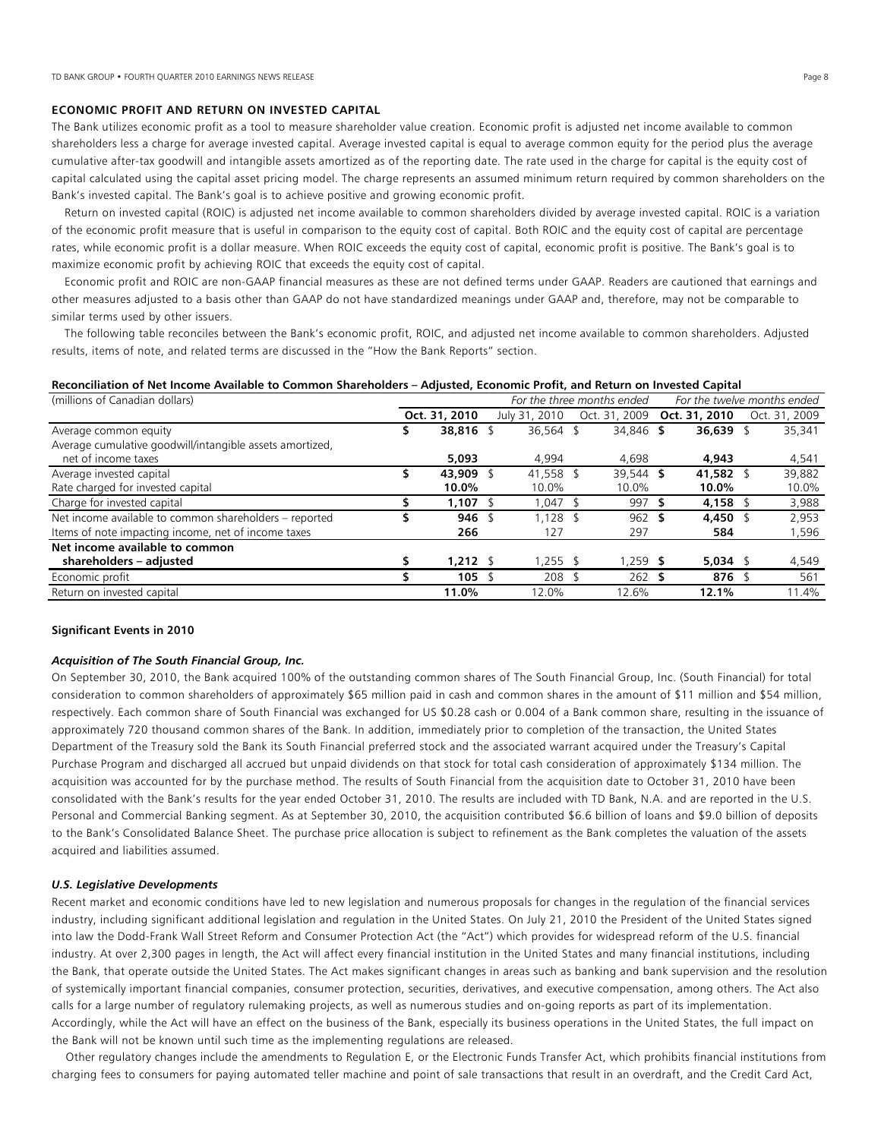# **ECONOMIC PROFIT AND RETURN ON INVESTED CAPITAL**

The Bank utilizes economic profit as a tool to measure shareholder value creation. Economic profit is adjusted net income available to common shareholders less a charge for average invested capital. Average invested capital is equal to average common equity for the period plus the average cumulative after-tax goodwill and intangible assets amortized as of the reporting date. The rate used in the charge for capital is the equity cost of capital calculated using the capital asset pricing model. The charge represents an assumed minimum return required by common shareholders on the Bank's invested capital. The Bank's goal is to achieve positive and growing economic profit.

 Return on invested capital (ROIC) is adjusted net income available to common shareholders divided by average invested capital. ROIC is a variation of the economic profit measure that is useful in comparison to the equity cost of capital. Both ROIC and the equity cost of capital are percentage rates, while economic profit is a dollar measure. When ROIC exceeds the equity cost of capital, economic profit is positive. The Bank's goal is to maximize economic profit by achieving ROIC that exceeds the equity cost of capital.

 Economic profit and ROIC are non-GAAP financial measures as these are not defined terms under GAAP. Readers are cautioned that earnings and other measures adjusted to a basis other than GAAP do not have standardized meanings under GAAP and, therefore, may not be comparable to similar terms used by other issuers.

 The following table reconciles between the Bank's economic profit, ROIC, and adjusted net income available to common shareholders. Adjusted results, items of note, and related terms are discussed in the "How the Bank Reports" section.

## **Reconciliation of Net Income Available to Common Shareholders – Adjusted, Economic Profit, and Return on Invested Capital**

| (millions of Canadian dollars)                           |    |               |  | For the three months ended |  |               |  | For the twelve months ended |  |               |  |
|----------------------------------------------------------|----|---------------|--|----------------------------|--|---------------|--|-----------------------------|--|---------------|--|
|                                                          |    | Oct. 31, 2010 |  | July 31, 2010              |  | Oct. 31, 2009 |  | Oct. 31, 2010               |  | Oct. 31, 2009 |  |
| Average common equity                                    | \$ | 38,816 \$     |  | 36.564 \$                  |  | 34.846 \$     |  | 36,639 \$                   |  | 35,341        |  |
| Average cumulative goodwill/intangible assets amortized, |    |               |  |                            |  |               |  |                             |  |               |  |
| net of income taxes                                      |    | 5,093         |  | 4.994                      |  | 4.698         |  | 4,943                       |  | 4,541         |  |
| Average invested capital                                 |    | 43,909 \$     |  | 41,558 \$                  |  | 39.544 \$     |  | 41.582 \$                   |  | 39,882        |  |
| Rate charged for invested capital                        |    | 10.0%         |  | 10.0%                      |  | 10.0%         |  | 10.0%                       |  | 10.0%         |  |
| Charge for invested capital                              |    | 1.107         |  | 1.047 \$                   |  | $997$ \$      |  | 4.158 \$                    |  | 3,988         |  |
| Net income available to common shareholders - reported   |    | $946$ \$      |  | $1.128$ \$                 |  | 962 S         |  | 4.450 \$                    |  | 2.953         |  |
| Items of note impacting income, net of income taxes      |    | 266           |  | 127                        |  | 297           |  | 584                         |  | 1,596         |  |
| Net income available to common                           |    |               |  |                            |  |               |  |                             |  |               |  |
| shareholders - adjusted                                  |    | $1.212$ \$    |  | 1,255\$                    |  | 1,259 \$      |  | $5,034$ \$                  |  | 4,549         |  |
| Economic profit                                          |    | 105           |  | 208 <sup>5</sup>           |  | 262S          |  | 876                         |  | 561           |  |
| Return on invested capital                               |    | 11.0%         |  | 12.0%                      |  | 12.6%         |  | 12.1%                       |  | 11.4%         |  |

#### **Significant Events in 2010**

#### *Acquisition of The South Financial Group, Inc.*

On September 30, 2010, the Bank acquired 100% of the outstanding common shares of The South Financial Group, Inc. (South Financial) for total consideration to common shareholders of approximately \$65 million paid in cash and common shares in the amount of \$11 million and \$54 million, respectively. Each common share of South Financial was exchanged for US \$0.28 cash or 0.004 of a Bank common share, resulting in the issuance of approximately 720 thousand common shares of the Bank. In addition, immediately prior to completion of the transaction, the United States Department of the Treasury sold the Bank its South Financial preferred stock and the associated warrant acquired under the Treasury's Capital Purchase Program and discharged all accrued but unpaid dividends on that stock for total cash consideration of approximately \$134 million. The acquisition was accounted for by the purchase method. The results of South Financial from the acquisition date to October 31, 2010 have been consolidated with the Bank's results for the year ended October 31, 2010. The results are included with TD Bank, N.A. and are reported in the U.S. Personal and Commercial Banking segment. As at September 30, 2010, the acquisition contributed \$6.6 billion of loans and \$9.0 billion of deposits to the Bank's Consolidated Balance Sheet. The purchase price allocation is subject to refinement as the Bank completes the valuation of the assets acquired and liabilities assumed.

# *U.S. Legislative Developments*

Recent market and economic conditions have led to new legislation and numerous proposals for changes in the regulation of the financial services industry, including significant additional legislation and regulation in the United States. On July 21, 2010 the President of the United States signed into law the Dodd-Frank Wall Street Reform and Consumer Protection Act (the "Act") which provides for widespread reform of the U.S. financial industry. At over 2,300 pages in length, the Act will affect every financial institution in the United States and many financial institutions, including the Bank, that operate outside the United States. The Act makes significant changes in areas such as banking and bank supervision and the resolution of systemically important financial companies, consumer protection, securities, derivatives, and executive compensation, among others. The Act also calls for a large number of regulatory rulemaking projects, as well as numerous studies and on-going reports as part of its implementation. Accordingly, while the Act will have an effect on the business of the Bank, especially its business operations in the United States, the full impact on the Bank will not be known until such time as the implementing regulations are released.

 Other regulatory changes include the amendments to Regulation E, or the Electronic Funds Transfer Act, which prohibits financial institutions from charging fees to consumers for paying automated teller machine and point of sale transactions that result in an overdraft, and the Credit Card Act,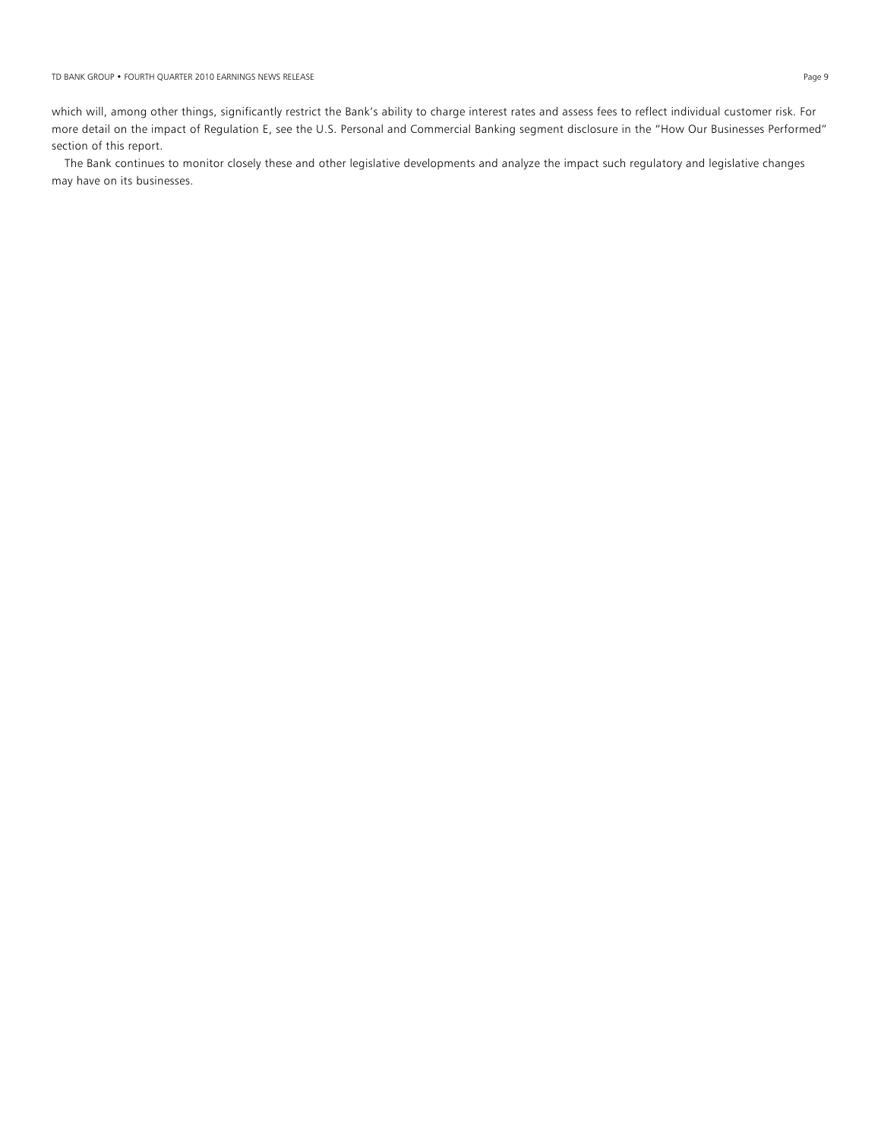which will, among other things, significantly restrict the Bank's ability to charge interest rates and assess fees to reflect individual customer risk. For more detail on the impact of Regulation E, see the U.S. Personal and Commercial Banking segment disclosure in the "How Our Businesses Performed" section of this report.

 The Bank continues to monitor closely these and other legislative developments and analyze the impact such regulatory and legislative changes may have on its businesses.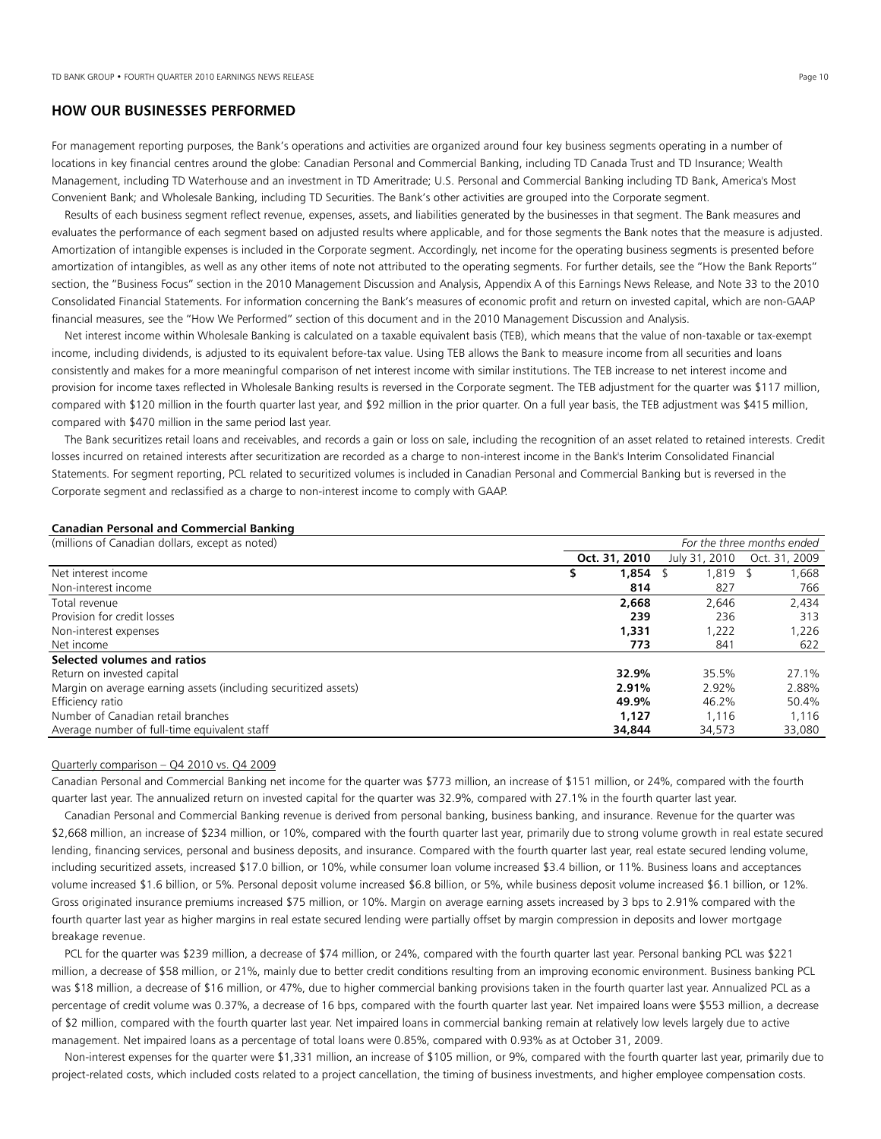# **HOW OUR BUSINESSES PERFORMED**

For management reporting purposes, the Bank's operations and activities are organized around four key business segments operating in a number of locations in key financial centres around the globe: Canadian Personal and Commercial Banking, including TD Canada Trust and TD Insurance; Wealth Management, including TD Waterhouse and an investment in TD Ameritrade; U.S. Personal and Commercial Banking including TD Bank, America's Most Convenient Bank; and Wholesale Banking, including TD Securities. The Bank's other activities are grouped into the Corporate segment.

 Results of each business segment reflect revenue, expenses, assets, and liabilities generated by the businesses in that segment. The Bank measures and evaluates the performance of each segment based on adjusted results where applicable, and for those segments the Bank notes that the measure is adjusted. Amortization of intangible expenses is included in the Corporate segment. Accordingly, net income for the operating business segments is presented before amortization of intangibles, as well as any other items of note not attributed to the operating segments. For further details, see the "How the Bank Reports" section, the "Business Focus" section in the 2010 Management Discussion and Analysis, Appendix A of this Earnings News Release, and Note 33 to the 2010 Consolidated Financial Statements. For information concerning the Bank's measures of economic profit and return on invested capital, which are non-GAAP financial measures, see the "How We Performed" section of this document and in the 2010 Management Discussion and Analysis.

 Net interest income within Wholesale Banking is calculated on a taxable equivalent basis (TEB), which means that the value of non-taxable or tax-exempt income, including dividends, is adjusted to its equivalent before-tax value. Using TEB allows the Bank to measure income from all securities and loans consistently and makes for a more meaningful comparison of net interest income with similar institutions. The TEB increase to net interest income and provision for income taxes reflected in Wholesale Banking results is reversed in the Corporate segment. The TEB adjustment for the quarter was \$117 million, compared with \$120 million in the fourth quarter last year, and \$92 million in the prior quarter. On a full year basis, the TEB adjustment was \$415 million, compared with \$470 million in the same period last year.

 The Bank securitizes retail loans and receivables, and records a gain or loss on sale, including the recognition of an asset related to retained interests. Credit losses incurred on retained interests after securitization are recorded as a charge to non-interest income in the Bank's Interim Consolidated Financial Statements. For segment reporting, PCL related to securitized volumes is included in Canadian Personal and Commercial Banking but is reversed in the Corporate segment and reclassified as a charge to non-interest income to comply with GAAP.

## **Canadian Personal and Commercial Banking**

| (millions of Canadian dollars, except as noted)                 | For the three months ended |               |               |               |  |  |
|-----------------------------------------------------------------|----------------------------|---------------|---------------|---------------|--|--|
|                                                                 |                            | Oct. 31, 2010 | July 31, 2010 | Oct. 31, 2009 |  |  |
| Net interest income                                             | 5                          | 1,854         | $1,819$ \$    | 1,668         |  |  |
| Non-interest income                                             |                            | 814           | 827           | 766           |  |  |
| Total revenue                                                   |                            | 2.668         | 2.646         | 2,434         |  |  |
| Provision for credit losses                                     |                            | 239           | 236           | 313           |  |  |
| Non-interest expenses                                           |                            | 1,331         | 1,222         | 1,226         |  |  |
| Net income                                                      |                            | 773           | 841           | 622           |  |  |
| Selected volumes and ratios                                     |                            |               |               |               |  |  |
| Return on invested capital                                      |                            | 32.9%         | 35.5%         | 27.1%         |  |  |
| Margin on average earning assets (including securitized assets) |                            | 2.91%         | 2.92%         | 2.88%         |  |  |
| Efficiency ratio                                                |                            | 49.9%         | 46.2%         | 50.4%         |  |  |
| Number of Canadian retail branches                              |                            | 1.127         | 1.116         | 1,116         |  |  |
| Average number of full-time equivalent staff                    |                            | 34,844        | 34,573        | 33,080        |  |  |

# Quarterly comparison – Q4 2010 vs. Q4 2009

Canadian Personal and Commercial Banking net income for the quarter was \$773 million, an increase of \$151 million, or 24%, compared with the fourth quarter last year. The annualized return on invested capital for the quarter was 32.9%, compared with 27.1% in the fourth quarter last year.

Canadian Personal and Commercial Banking revenue is derived from personal banking, business banking, and insurance. Revenue for the quarter was \$2,668 million, an increase of \$234 million, or 10%, compared with the fourth quarter last year, primarily due to strong volume growth in real estate secured lending, financing services, personal and business deposits, and insurance. Compared with the fourth quarter last year, real estate secured lending volume, including securitized assets, increased \$17.0 billion, or 10%, while consumer loan volume increased \$3.4 billion, or 11%. Business loans and acceptances volume increased \$1.6 billion, or 5%. Personal deposit volume increased \$6.8 billion, or 5%, while business deposit volume increased \$6.1 billion, or 12%. Gross originated insurance premiums increased \$75 million, or 10%. Margin on average earning assets increased by 3 bps to 2.91% compared with the fourth quarter last year as higher margins in real estate secured lending were partially offset by margin compression in deposits and lower mortgage breakage revenue.

PCL for the quarter was \$239 million, a decrease of \$74 million, or 24%, compared with the fourth quarter last year. Personal banking PCL was \$221 million, a decrease of \$58 million, or 21%, mainly due to better credit conditions resulting from an improving economic environment. Business banking PCL was \$18 million, a decrease of \$16 million, or 47%, due to higher commercial banking provisions taken in the fourth quarter last year. Annualized PCL as a percentage of credit volume was 0.37%, a decrease of 16 bps, compared with the fourth quarter last year. Net impaired loans were \$553 million, a decrease of \$2 million, compared with the fourth quarter last year. Net impaired loans in commercial banking remain at relatively low levels largely due to active management. Net impaired loans as a percentage of total loans were 0.85%, compared with 0.93% as at October 31, 2009.

Non-interest expenses for the quarter were \$1,331 million, an increase of \$105 million, or 9%, compared with the fourth quarter last year, primarily due to project-related costs, which included costs related to a project cancellation, the timing of business investments, and higher employee compensation costs.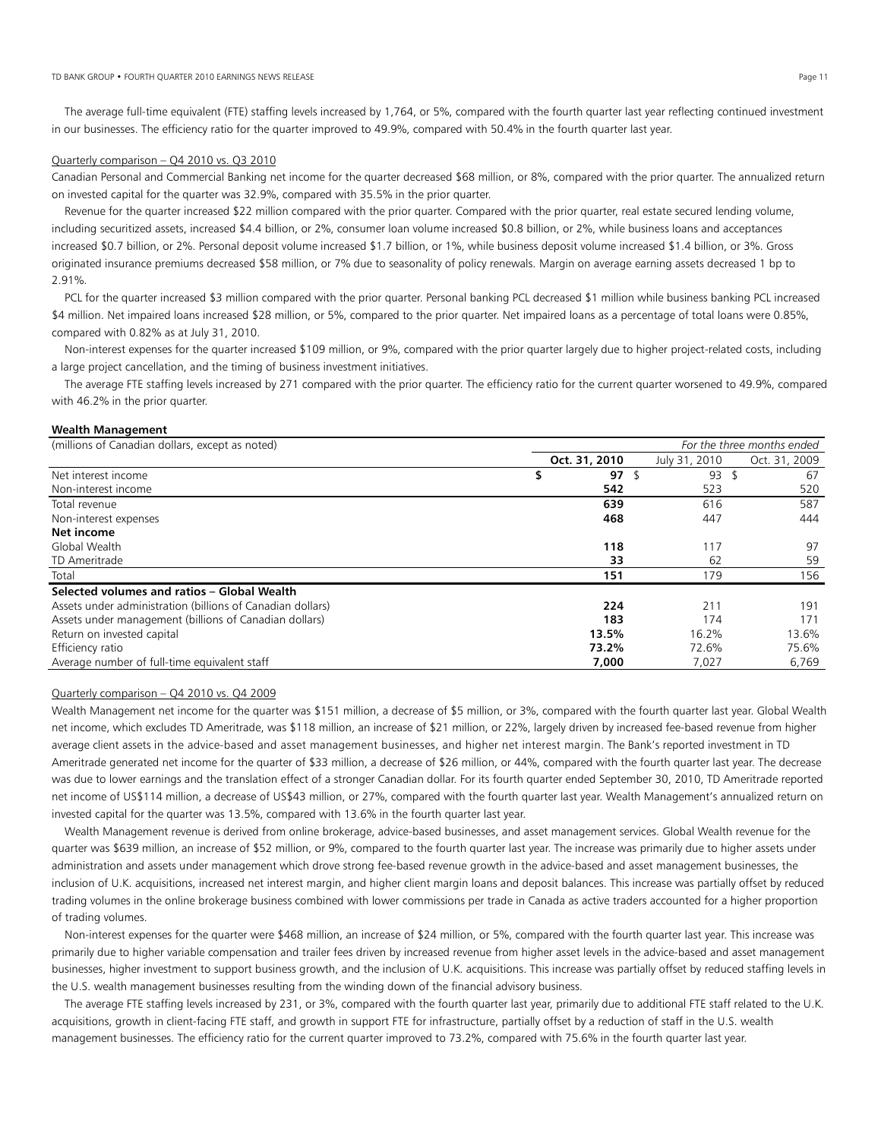The average full-time equivalent (FTE) staffing levels increased by 1,764, or 5%, compared with the fourth quarter last year reflecting continued investment in our businesses. The efficiency ratio for the quarter improved to 49.9%, compared with 50.4% in the fourth quarter last year.

## Quarterly comparison - Q4 2010 vs. Q3 2010

Canadian Personal and Commercial Banking net income for the quarter decreased \$68 million, or 8%, compared with the prior quarter. The annualized return on invested capital for the quarter was 32.9%, compared with 35.5% in the prior quarter.

 Revenue for the quarter increased \$22 million compared with the prior quarter. Compared with the prior quarter, real estate secured lending volume, including securitized assets, increased \$4.4 billion, or 2%, consumer loan volume increased \$0.8 billion, or 2%, while business loans and acceptances increased \$0.7 billion, or 2%. Personal deposit volume increased \$1.7 billion, or 1%, while business deposit volume increased \$1.4 billion, or 3%. Gross originated insurance premiums decreased \$58 million, or 7% due to seasonality of policy renewals. Margin on average earning assets decreased 1 bp to 2.91%.

 PCL for the quarter increased \$3 million compared with the prior quarter. Personal banking PCL decreased \$1 million while business banking PCL increased \$4 million. Net impaired loans increased \$28 million, or 5%, compared to the prior quarter. Net impaired loans as a percentage of total loans were 0.85%, compared with 0.82% as at July 31, 2010.

 Non-interest expenses for the quarter increased \$109 million, or 9%, compared with the prior quarter largely due to higher project-related costs, including a large project cancellation, and the timing of business investment initiatives.

 The average FTE staffing levels increased by 271 compared with the prior quarter. The efficiency ratio for the current quarter worsened to 49.9%, compared with 46.2% in the prior quarter.

#### **Wealth Management**

(millions of Canadian dollars, except as noted) *For the three months ended* 

| , CACCPT as Hotel, Carlo Carlo Hotel and The Carlo Carlo Carlo Carlo Carlo Carlo Carlo Carlo Carlo C | $1.91$ and and computers choose |                  |  |               |  |               |  |
|------------------------------------------------------------------------------------------------------|---------------------------------|------------------|--|---------------|--|---------------|--|
|                                                                                                      |                                 | Oct. 31, 2010    |  | July 31, 2010 |  | Oct. 31, 2009 |  |
| Net interest income                                                                                  |                                 | 97 $\frac{1}{2}$ |  | 93            |  | 67            |  |
| Non-interest income                                                                                  |                                 | 542              |  | 523           |  | 520           |  |
| Total revenue                                                                                        |                                 | 639              |  | 616           |  | 587           |  |
| Non-interest expenses                                                                                |                                 | 468              |  | 447           |  | 444           |  |
| Net income                                                                                           |                                 |                  |  |               |  |               |  |
| Global Wealth                                                                                        |                                 | 118              |  | 117           |  | 97            |  |
| TD Ameritrade                                                                                        |                                 | 33               |  | 62            |  | 59            |  |
| Total                                                                                                |                                 | 151              |  | 179           |  | 156           |  |
| Selected volumes and ratios - Global Wealth                                                          |                                 |                  |  |               |  |               |  |
| Assets under administration (billions of Canadian dollars)                                           |                                 | 224              |  | 211           |  | 191           |  |
| Assets under management (billions of Canadian dollars)                                               |                                 | 183              |  | 174           |  | 171           |  |
| Return on invested capital                                                                           |                                 | 13.5%            |  | 16.2%         |  | 13.6%         |  |
| Efficiency ratio                                                                                     |                                 | 73.2%            |  | 72.6%         |  | 75.6%         |  |
| Average number of full-time equivalent staff                                                         |                                 | 7,000            |  | 7,027         |  | 6,769         |  |

### Quarterly comparison – Q4 2010 vs. Q4 2009

Wealth Management net income for the quarter was \$151 million, a decrease of \$5 million, or 3%, compared with the fourth quarter last year. Global Wealth net income, which excludes TD Ameritrade, was \$118 million, an increase of \$21 million, or 22%, largely driven by increased fee-based revenue from higher average client assets in the advice-based and asset management businesses, and higher net interest margin. The Bank's reported investment in TD Ameritrade generated net income for the quarter of \$33 million, a decrease of \$26 million, or 44%, compared with the fourth quarter last year. The decrease was due to lower earnings and the translation effect of a stronger Canadian dollar. For its fourth quarter ended September 30, 2010, TD Ameritrade reported net income of US\$114 million, a decrease of US\$43 million, or 27%, compared with the fourth quarter last year. Wealth Management's annualized return on invested capital for the quarter was 13.5%, compared with 13.6% in the fourth quarter last year.

 Wealth Management revenue is derived from online brokerage, advice-based businesses, and asset management services. Global Wealth revenue for the quarter was \$639 million, an increase of \$52 million, or 9%, compared to the fourth quarter last year. The increase was primarily due to higher assets under administration and assets under management which drove strong fee-based revenue growth in the advice-based and asset management businesses, the inclusion of U.K. acquisitions, increased net interest margin, and higher client margin loans and deposit balances. This increase was partially offset by reduced trading volumes in the online brokerage business combined with lower commissions per trade in Canada as active traders accounted for a higher proportion of trading volumes.

 Non-interest expenses for the quarter were \$468 million, an increase of \$24 million, or 5%, compared with the fourth quarter last year. This increase was primarily due to higher variable compensation and trailer fees driven by increased revenue from higher asset levels in the advice-based and asset management businesses, higher investment to support business growth, and the inclusion of U.K. acquisitions. This increase was partially offset by reduced staffing levels in the U.S. wealth management businesses resulting from the winding down of the financial advisory business.

 The average FTE staffing levels increased by 231, or 3%, compared with the fourth quarter last year, primarily due to additional FTE staff related to the U.K. acquisitions, growth in client-facing FTE staff, and growth in support FTE for infrastructure, partially offset by a reduction of staff in the U.S. wealth management businesses. The efficiency ratio for the current quarter improved to 73.2%, compared with 75.6% in the fourth quarter last year.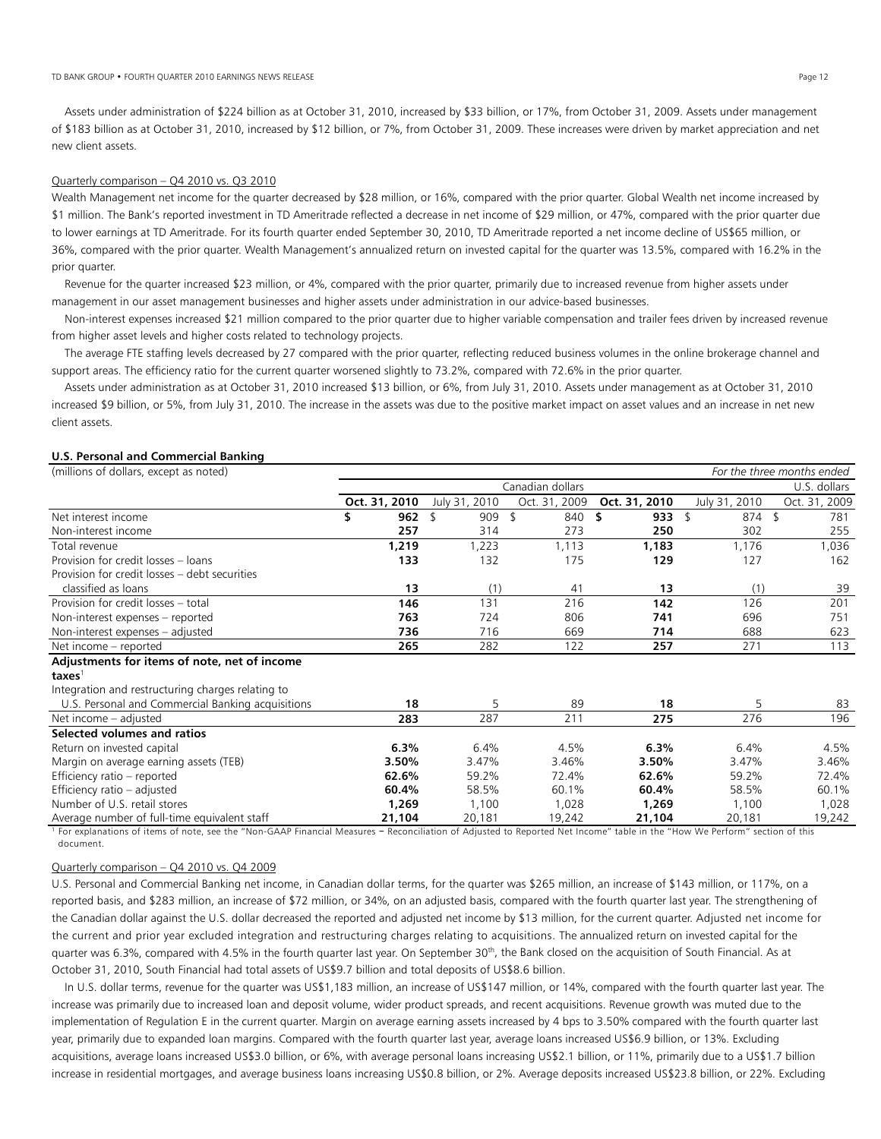#### TD BANK GROUP • FOURTH QUARTER 2010 EARNINGS NEWS RELEASE PAGE 12 PAGE 12 PAGE 12 PAGE 12 PAGE 12 PAGE 12 PAGE 12

 Assets under administration of \$224 billion as at October 31, 2010, increased by \$33 billion, or 17%, from October 31, 2009. Assets under management of \$183 billion as at October 31, 2010, increased by \$12 billion, or 7%, from October 31, 2009. These increases were driven by market appreciation and net new client assets.

## Quarterly comparison – Q4 2010 vs. Q3 2010

Wealth Management net income for the quarter decreased by \$28 million, or 16%, compared with the prior quarter. Global Wealth net income increased by \$1 million. The Bank's reported investment in TD Ameritrade reflected a decrease in net income of \$29 million, or 47%, compared with the prior quarter due to lower earnings at TD Ameritrade. For its fourth quarter ended September 30, 2010, TD Ameritrade reported a net income decline of US\$65 million, or 36%, compared with the prior quarter. Wealth Management's annualized return on invested capital for the quarter was 13.5%, compared with 16.2% in the prior quarter.

 Revenue for the quarter increased \$23 million, or 4%, compared with the prior quarter, primarily due to increased revenue from higher assets under management in our asset management businesses and higher assets under administration in our advice-based businesses.

 Non-interest expenses increased \$21 million compared to the prior quarter due to higher variable compensation and trailer fees driven by increased revenue from higher asset levels and higher costs related to technology projects.

 The average FTE staffing levels decreased by 27 compared with the prior quarter, reflecting reduced business volumes in the online brokerage channel and support areas. The efficiency ratio for the current quarter worsened slightly to 73.2%, compared with 72.6% in the prior quarter.

 Assets under administration as at October 31, 2010 increased \$13 billion, or 6%, from July 31, 2010. Assets under management as at October 31, 2010 increased \$9 billion, or 5%, from July 31, 2010. The increase in the assets was due to the positive market impact on asset values and an increase in net new client assets.

#### **U.S. Personal and Commercial Banking**

| (millions of dollars, except as noted)            |               |      |               |                  |               |                         | For the three months ended |
|---------------------------------------------------|---------------|------|---------------|------------------|---------------|-------------------------|----------------------------|
|                                                   |               |      |               | Canadian dollars |               |                         | U.S. dollars               |
|                                                   | Oct. 31, 2010 |      | July 31, 2010 | Oct. 31, 2009    | Oct. 31, 2010 | July 31, 2010           | Oct. 31, 2009              |
| Net interest income                               | 962<br>\$     | - \$ | 909           | 840<br>\$        | \$<br>933     | \$<br>$874 \text{ } $5$ | 781                        |
| Non-interest income                               | 257           |      | 314           | 273              | 250           | 302                     | 255                        |
| Total revenue                                     | 1,219         |      | 1,223         | 1,113            | 1,183         | 1,176                   | 1,036                      |
| Provision for credit losses - loans               | 133           |      | 132           | 175              | 129           | 127                     | 162                        |
| Provision for credit losses - debt securities     |               |      |               |                  |               |                         |                            |
| classified as loans                               | 13            |      | (1)           | 41               | 13            | (1)                     | 39                         |
| Provision for credit losses - total               | 146           |      | 131           | 216              | 142           | 126                     | 201                        |
| Non-interest expenses - reported                  | 763           |      | 724           | 806              | 741           | 696                     | 751                        |
| Non-interest expenses - adjusted                  | 736           |      | 716           | 669              | 714           | 688                     | 623                        |
| Net income - reported                             | 265           |      | 282           | 122              | 257           | 271                     | 113                        |
| Adjustments for items of note, net of income      |               |      |               |                  |               |                         |                            |
| taxes <sup>1</sup>                                |               |      |               |                  |               |                         |                            |
| Integration and restructuring charges relating to |               |      |               |                  |               |                         |                            |
| U.S. Personal and Commercial Banking acquisitions | 18            |      | 5             | 89               | 18            | 5                       | 83                         |
| Net income - adjusted                             | 283           |      | 287           | 211              | 275           | 276                     | 196                        |
| Selected volumes and ratios                       |               |      |               |                  |               |                         |                            |
| Return on invested capital                        | 6.3%          |      | 6.4%          | 4.5%             | 6.3%          | 6.4%                    | 4.5%                       |
| Margin on average earning assets (TEB)            | 3.50%         |      | 3.47%         | 3.46%            | 3.50%         | 3.47%                   | 3.46%                      |
| Efficiency ratio - reported                       | 62.6%         |      | 59.2%         | 72.4%            | 62.6%         | 59.2%                   | 72.4%                      |
| Efficiency ratio - adjusted                       | 60.4%         |      | 58.5%         | 60.1%            | 60.4%         | 58.5%                   | 60.1%                      |
| Number of U.S. retail stores                      | 1,269         |      | 1,100         | 1,028            | 1,269         | 1,100                   | 1,028                      |
| Average number of full-time equivalent staff      | 21,104        |      | 20,181        | 19,242           | 21,104        | 20,181                  | 19,242                     |

<sup>1</sup> For explanations of items of note, see the "Non-GAAP Financial Measures - Reconciliation of Adjusted to Reported Net Income" table in the "How We Perform" section of this document.

#### Quarterly comparison – Q4 2010 vs. Q4 2009

U.S. Personal and Commercial Banking net income, in Canadian dollar terms, for the quarter was \$265 million, an increase of \$143 million, or 117%, on a reported basis, and \$283 million, an increase of \$72 million, or 34%, on an adjusted basis, compared with the fourth quarter last year. The strengthening of the Canadian dollar against the U.S. dollar decreased the reported and adjusted net income by \$13 million, for the current quarter. Adjusted net income for the current and prior year excluded integration and restructuring charges relating to acquisitions. The annualized return on invested capital for the quarter was 6.3%, compared with 4.5% in the fourth quarter last year. On September 30<sup>th</sup>, the Bank closed on the acquisition of South Financial. As at October 31, 2010, South Financial had total assets of US\$9.7 billion and total deposits of US\$8.6 billion.

 In U.S. dollar terms, revenue for the quarter was US\$1,183 million, an increase of US\$147 million, or 14%, compared with the fourth quarter last year. The increase was primarily due to increased loan and deposit volume, wider product spreads, and recent acquisitions. Revenue growth was muted due to the implementation of Regulation E in the current quarter. Margin on average earning assets increased by 4 bps to 3.50% compared with the fourth quarter last year, primarily due to expanded loan margins. Compared with the fourth quarter last year, average loans increased US\$6.9 billion, or 13%. Excluding acquisitions, average loans increased US\$3.0 billion, or 6%, with average personal loans increasing US\$2.1 billion, or 11%, primarily due to a US\$1.7 billion increase in residential mortgages, and average business loans increasing US\$0.8 billion, or 2%. Average deposits increased US\$23.8 billion, or 22%. Excluding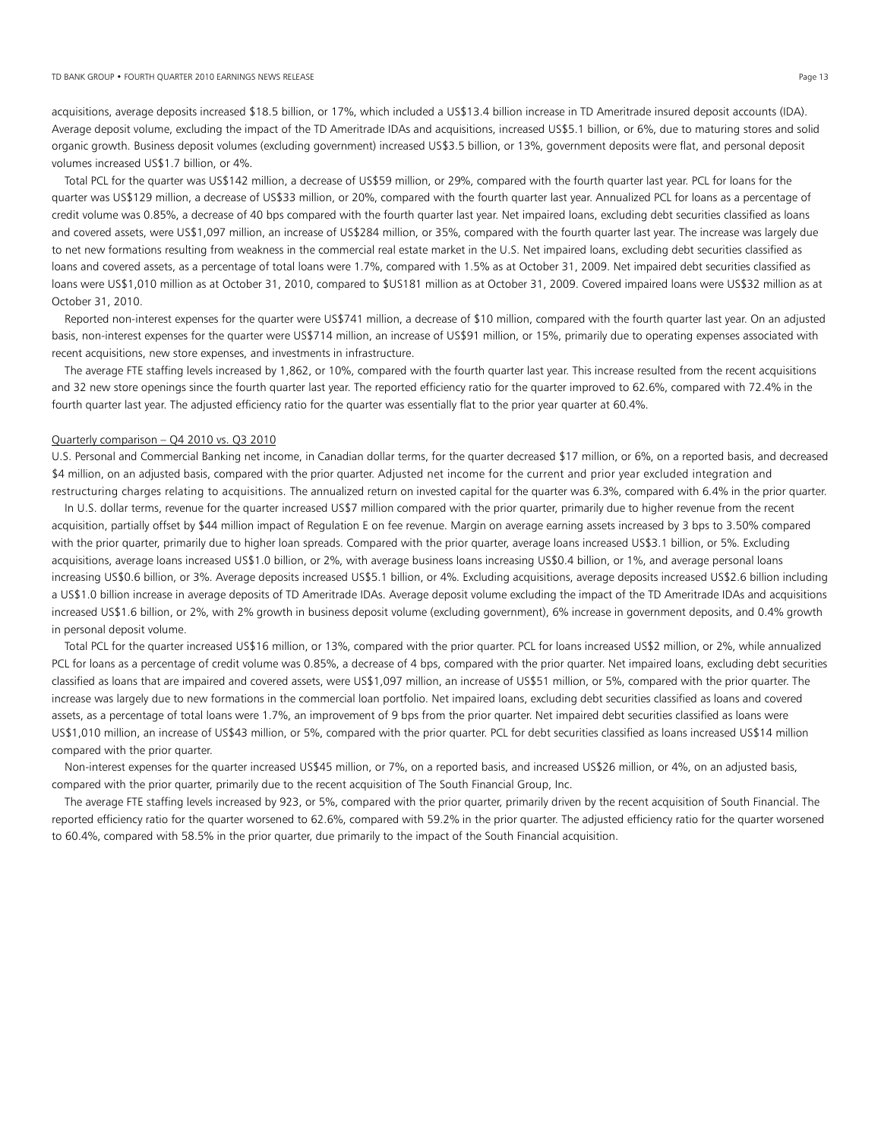acquisitions, average deposits increased \$18.5 billion, or 17%, which included a US\$13.4 billion increase in TD Ameritrade insured deposit accounts (IDA). Average deposit volume, excluding the impact of the TD Ameritrade IDAs and acquisitions, increased US\$5.1 billion, or 6%, due to maturing stores and solid organic growth. Business deposit volumes (excluding government) increased US\$3.5 billion, or 13%, government deposits were flat, and personal deposit volumes increased US\$1.7 billion, or 4%.

 Total PCL for the quarter was US\$142 million, a decrease of US\$59 million, or 29%, compared with the fourth quarter last year. PCL for loans for the quarter was US\$129 million, a decrease of US\$33 million, or 20%, compared with the fourth quarter last year. Annualized PCL for loans as a percentage of credit volume was 0.85%, a decrease of 40 bps compared with the fourth quarter last year. Net impaired loans, excluding debt securities classified as loans and covered assets, were US\$1,097 million, an increase of US\$284 million, or 35%, compared with the fourth quarter last year. The increase was largely due to net new formations resulting from weakness in the commercial real estate market in the U.S. Net impaired loans, excluding debt securities classified as loans and covered assets, as a percentage of total loans were 1.7%, compared with 1.5% as at October 31, 2009. Net impaired debt securities classified as loans were US\$1,010 million as at October 31, 2010, compared to \$US181 million as at October 31, 2009. Covered impaired loans were US\$32 million as at October 31, 2010.

 Reported non-interest expenses for the quarter were US\$741 million, a decrease of \$10 million, compared with the fourth quarter last year. On an adjusted basis, non-interest expenses for the quarter were US\$714 million, an increase of US\$91 million, or 15%, primarily due to operating expenses associated with recent acquisitions, new store expenses, and investments in infrastructure.

 The average FTE staffing levels increased by 1,862, or 10%, compared with the fourth quarter last year. This increase resulted from the recent acquisitions and 32 new store openings since the fourth quarter last year. The reported efficiency ratio for the quarter improved to 62.6%, compared with 72.4% in the fourth quarter last year. The adjusted efficiency ratio for the quarter was essentially flat to the prior year quarter at 60.4%.

#### Quarterly comparison – Q4 2010 vs. Q3 2010

U.S. Personal and Commercial Banking net income, in Canadian dollar terms, for the quarter decreased \$17 million, or 6%, on a reported basis, and decreased \$4 million, on an adjusted basis, compared with the prior quarter. Adjusted net income for the current and prior year excluded integration and restructuring charges relating to acquisitions. The annualized return on invested capital for the quarter was 6.3%, compared with 6.4% in the prior quarter.

In U.S. dollar terms, revenue for the quarter increased US\$7 million compared with the prior quarter, primarily due to higher revenue from the recent acquisition, partially offset by \$44 million impact of Regulation E on fee revenue. Margin on average earning assets increased by 3 bps to 3.50% compared with the prior quarter, primarily due to higher loan spreads. Compared with the prior quarter, average loans increased US\$3.1 billion, or 5%. Excluding acquisitions, average loans increased US\$1.0 billion, or 2%, with average business loans increasing US\$0.4 billion, or 1%, and average personal loans increasing US\$0.6 billion, or 3%. Average deposits increased US\$5.1 billion, or 4%. Excluding acquisitions, average deposits increased US\$2.6 billion including a US\$1.0 billion increase in average deposits of TD Ameritrade IDAs. Average deposit volume excluding the impact of the TD Ameritrade IDAs and acquisitions increased US\$1.6 billion, or 2%, with 2% growth in business deposit volume (excluding government), 6% increase in government deposits, and 0.4% growth in personal deposit volume.

 Total PCL for the quarter increased US\$16 million, or 13%, compared with the prior quarter. PCL for loans increased US\$2 million, or 2%, while annualized PCL for loans as a percentage of credit volume was 0.85%, a decrease of 4 bps, compared with the prior quarter. Net impaired loans, excluding debt securities classified as loans that are impaired and covered assets, were US\$1,097 million, an increase of US\$51 million, or 5%, compared with the prior quarter. The increase was largely due to new formations in the commercial loan portfolio. Net impaired loans, excluding debt securities classified as loans and covered assets, as a percentage of total loans were 1.7%, an improvement of 9 bps from the prior quarter. Net impaired debt securities classified as loans were US\$1,010 million, an increase of US\$43 million, or 5%, compared with the prior quarter. PCL for debt securities classified as loans increased US\$14 million compared with the prior quarter.

 Non-interest expenses for the quarter increased US\$45 million, or 7%, on a reported basis, and increased US\$26 million, or 4%, on an adjusted basis, compared with the prior quarter, primarily due to the recent acquisition of The South Financial Group, Inc.

 The average FTE staffing levels increased by 923, or 5%, compared with the prior quarter, primarily driven by the recent acquisition of South Financial. The reported efficiency ratio for the quarter worsened to 62.6%, compared with 59.2% in the prior quarter. The adjusted efficiency ratio for the quarter worsened to 60.4%, compared with 58.5% in the prior quarter, due primarily to the impact of the South Financial acquisition.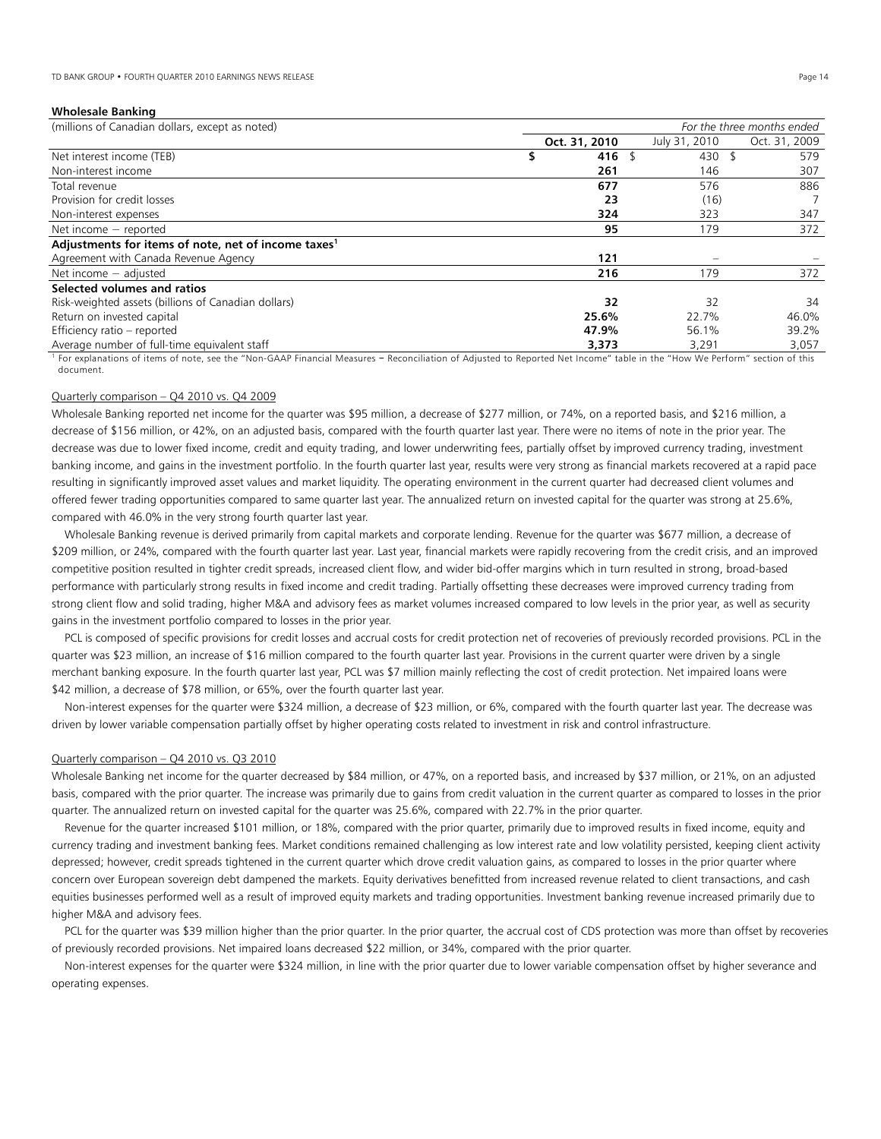# **Wholesale Banking**

| (millions of Canadian dollars, except as noted)                 | For the three months ended |               |               |  |  |
|-----------------------------------------------------------------|----------------------------|---------------|---------------|--|--|
|                                                                 | Oct. 31, 2010              | July 31, 2010 | Oct. 31, 2009 |  |  |
| Net interest income (TEB)                                       | 416 $\frac{1}{2}$          | 430 \$        | 579           |  |  |
| Non-interest income                                             | 261                        | 146           | 307           |  |  |
| Total revenue                                                   | 677                        | 576           | 886           |  |  |
| Provision for credit losses                                     | 23                         | (16)          |               |  |  |
| Non-interest expenses                                           | 324                        | 323           | 347           |  |  |
| Net income $-$ reported                                         | 95                         | 179           | 372           |  |  |
| Adjustments for items of note, net of income taxes <sup>1</sup> |                            |               |               |  |  |
| Agreement with Canada Revenue Agency                            | 121                        |               |               |  |  |
| Net income $-$ adjusted                                         | 216                        | 179           | 372           |  |  |
| Selected volumes and ratios                                     |                            |               |               |  |  |
| Risk-weighted assets (billions of Canadian dollars)             | 32                         | 32            | 34            |  |  |
| Return on invested capital                                      | 25.6%                      | 22.7%         | 46.0%         |  |  |
| Efficiency ratio - reported                                     | 47.9%                      | 56.1%         | 39.2%         |  |  |
| Average number of full-time equivalent staff                    | 3,373                      | 3,291         | 3,057         |  |  |

For explanations of items of note, see the "Non-GAAP Financial Measures - Reconciliation of Adjusted to Reported Net Income" table in the "How We Perform" section of this document.

# Quarterly comparison – Q4 2010 vs. Q4 2009

Wholesale Banking reported net income for the quarter was \$95 million, a decrease of \$277 million, or 74%, on a reported basis, and \$216 million, a decrease of \$156 million, or 42%, on an adjusted basis, compared with the fourth quarter last year. There were no items of note in the prior year. The decrease was due to lower fixed income, credit and equity trading, and lower underwriting fees, partially offset by improved currency trading, investment banking income, and gains in the investment portfolio. In the fourth quarter last year, results were very strong as financial markets recovered at a rapid pace resulting in significantly improved asset values and market liquidity. The operating environment in the current quarter had decreased client volumes and offered fewer trading opportunities compared to same quarter last year. The annualized return on invested capital for the quarter was strong at 25.6%, compared with 46.0% in the very strong fourth quarter last year.

 Wholesale Banking revenue is derived primarily from capital markets and corporate lending. Revenue for the quarter was \$677 million, a decrease of \$209 million, or 24%, compared with the fourth quarter last year. Last year, financial markets were rapidly recovering from the credit crisis, and an improved competitive position resulted in tighter credit spreads, increased client flow, and wider bid-offer margins which in turn resulted in strong, broad-based performance with particularly strong results in fixed income and credit trading. Partially offsetting these decreases were improved currency trading from strong client flow and solid trading, higher M&A and advisory fees as market volumes increased compared to low levels in the prior year, as well as security gains in the investment portfolio compared to losses in the prior year.

PCL is composed of specific provisions for credit losses and accrual costs for credit protection net of recoveries of previously recorded provisions. PCL in the quarter was \$23 million, an increase of \$16 million compared to the fourth quarter last year. Provisions in the current quarter were driven by a single merchant banking exposure. In the fourth quarter last year, PCL was \$7 million mainly reflecting the cost of credit protection. Net impaired loans were \$42 million, a decrease of \$78 million, or 65%, over the fourth quarter last year.

 Non-interest expenses for the quarter were \$324 million, a decrease of \$23 million, or 6%, compared with the fourth quarter last year. The decrease was driven by lower variable compensation partially offset by higher operating costs related to investment in risk and control infrastructure.

#### Quarterly comparison – Q4 2010 vs. Q3 2010

Wholesale Banking net income for the quarter decreased by \$84 million, or 47%, on a reported basis, and increased by \$37 million, or 21%, on an adjusted basis, compared with the prior quarter. The increase was primarily due to gains from credit valuation in the current quarter as compared to losses in the prior quarter. The annualized return on invested capital for the quarter was 25.6%, compared with 22.7% in the prior quarter.

 Revenue for the quarter increased \$101 million, or 18%, compared with the prior quarter, primarily due to improved results in fixed income, equity and currency trading and investment banking fees. Market conditions remained challenging as low interest rate and low volatility persisted, keeping client activity depressed; however, credit spreads tightened in the current quarter which drove credit valuation gains, as compared to losses in the prior quarter where concern over European sovereign debt dampened the markets. Equity derivatives benefitted from increased revenue related to client transactions, and cash equities businesses performed well as a result of improved equity markets and trading opportunities. Investment banking revenue increased primarily due to higher M&A and advisory fees.

PCL for the quarter was \$39 million higher than the prior quarter. In the prior quarter, the accrual cost of CDS protection was more than offset by recoveries of previously recorded provisions. Net impaired loans decreased \$22 million, or 34%, compared with the prior quarter.

 Non-interest expenses for the quarter were \$324 million, in line with the prior quarter due to lower variable compensation offset by higher severance and operating expenses.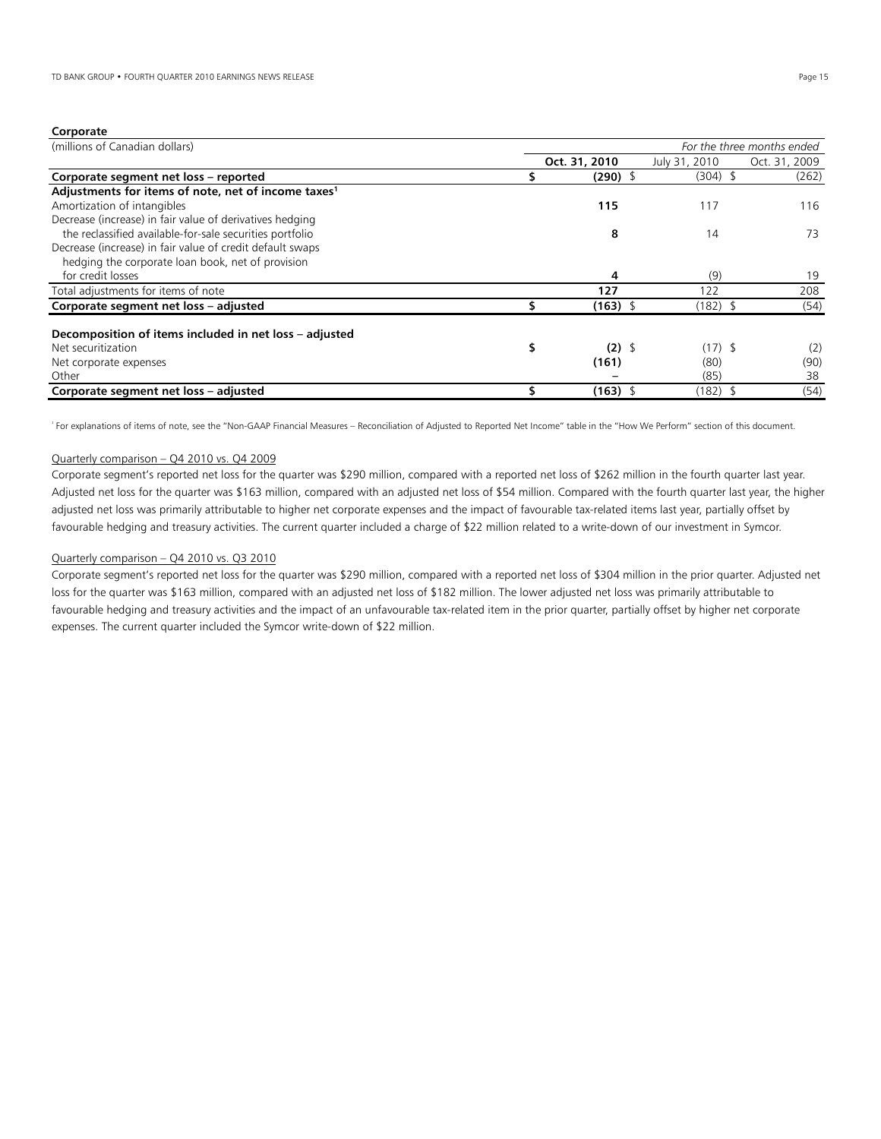# **Corporate**

| (millions of Canadian dollars)                                  | For the three months ended |               |               |               |  |  |  |  |  |
|-----------------------------------------------------------------|----------------------------|---------------|---------------|---------------|--|--|--|--|--|
|                                                                 |                            | Oct. 31, 2010 | July 31, 2010 | Oct. 31, 2009 |  |  |  |  |  |
| Corporate segment net loss - reported                           |                            | $(290)$ \$    | $(304)$ \$    | (262)         |  |  |  |  |  |
| Adjustments for items of note, net of income taxes <sup>1</sup> |                            |               |               |               |  |  |  |  |  |
| Amortization of intangibles                                     |                            | 115           | 117           | 116           |  |  |  |  |  |
| Decrease (increase) in fair value of derivatives hedging        |                            |               |               |               |  |  |  |  |  |
| the reclassified available-for-sale securities portfolio        |                            | 8             | 14            | 73            |  |  |  |  |  |
| Decrease (increase) in fair value of credit default swaps       |                            |               |               |               |  |  |  |  |  |
| hedging the corporate loan book, net of provision               |                            |               |               |               |  |  |  |  |  |
| for credit losses                                               |                            | 4             | (9)           | 19            |  |  |  |  |  |
| Total adjustments for items of note                             |                            | 127           | 122           | 208           |  |  |  |  |  |
| Corporate segment net loss - adjusted                           |                            | $(163)$ \$    | $(182)$ \$    | (54)          |  |  |  |  |  |
| Decomposition of items included in net loss – adjusted          |                            |               |               |               |  |  |  |  |  |
| Net securitization                                              | \$                         | $(2)$ \$      | $(17)$ \$     | (2)           |  |  |  |  |  |
| Net corporate expenses                                          |                            | (161)         | (80)          | (90)          |  |  |  |  |  |
| Other                                                           |                            |               | (85)          | 38            |  |  |  |  |  |
| Corporate segment net loss - adjusted                           |                            | $(163)$ \$    | (182)\$       | (54)          |  |  |  |  |  |

<sup>1</sup>For explanations of items of note, see the "Non-GAAP Financial Measures – Reconciliation of Adjusted to Reported Net Income" table in the "How We Perform" section of this document.

# Quarterly comparison – Q4 2010 vs. Q4 2009

Corporate segment's reported net loss for the quarter was \$290 million, compared with a reported net loss of \$262 million in the fourth quarter last year. Adjusted net loss for the quarter was \$163 million, compared with an adjusted net loss of \$54 million. Compared with the fourth quarter last year, the higher adjusted net loss was primarily attributable to higher net corporate expenses and the impact of favourable tax-related items last year, partially offset by favourable hedging and treasury activities. The current quarter included a charge of \$22 million related to a write-down of our investment in Symcor.

# Quarterly comparison – Q4 2010 vs. Q3 2010

Corporate segment's reported net loss for the quarter was \$290 million, compared with a reported net loss of \$304 million in the prior quarter. Adjusted net loss for the quarter was \$163 million, compared with an adjusted net loss of \$182 million. The lower adjusted net loss was primarily attributable to favourable hedging and treasury activities and the impact of an unfavourable tax-related item in the prior quarter, partially offset by higher net corporate expenses. The current quarter included the Symcor write-down of \$22 million.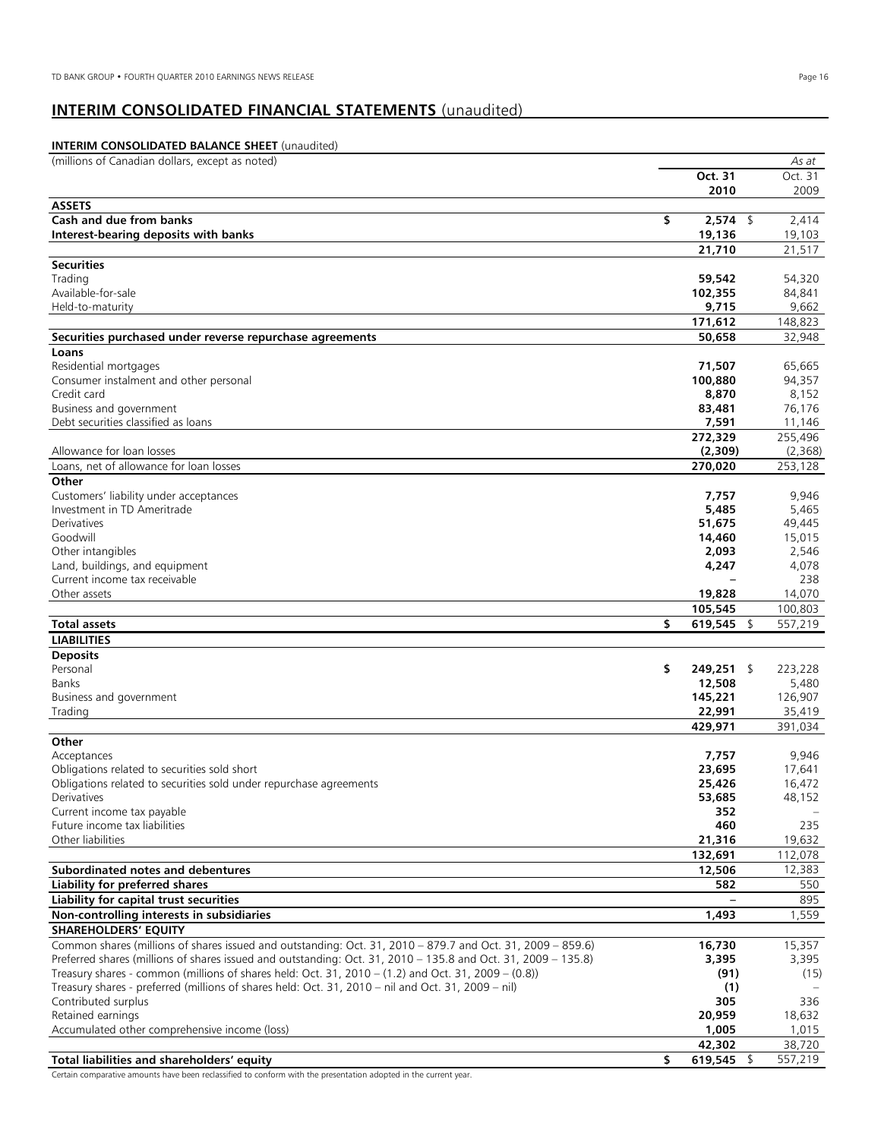# **INTERIM CONSOLIDATED FINANCIAL STATEMENTS** (unaudited)

#### **INTERIM CONSOLIDATED BALANCE SHEET** (unaudited)  $\overline{\phantom{a}}$ (millions of Canadian dollars, except as noted)*As at*  **Oct. 31 Oct. 31**<br>**2010** 2009 **2010** 2009 L, **ASSETS Cash and due from banks \$ 2,574** \$ 2,414 **Interest-bearing deposits with banks** 19,103 **21,710** 21,517  $\overline{\phantom{a}}$ **Securities**  Trading **59,542** 54,320 Available-for-sale **102,355** 84,841 Held-to-maturity **9,715** 9,662 **171,612** 148,823  $\overline{\phantom{a}}$ **Securities purchased under reverse repurchase agreements 50,658** 32,948 **Loans**  Residential mortgages **71,507** 65,665 Consumer instalment and other personal Credit card **8,870** 8,152 Business and government **83,481** 76,176 Debt securities classified as loans **7,591** 11,146 **272,329** 255,496 Allowance for loan losses **(2,309)** (2,368) Loans, net of allowance for loan losses **270,020** 253,128 **Other**  Customers' liability under acceptances **7,757** 9,946 Investment in TD Ameritrade **5,485** 5,465 Derivatives **51,675** 49,445 Goodwill **14,460** 15,015 Other intangibles **2,093** 2,546 Land, buildings, and equipment **4,247** 4,078 Current income tax receivable **–** 238 Other assets **19,828** 14,070 **105,545** 100,803 **Total assets \$ 619,545** \$ 557,219 **LIABILITIES**   $\overline{\phantom{a}}$ **Deposits**  Personal **\$ 249,251** \$ 223,228 Banks **12,508** 5,480 Business and government **145,221** 126,907 Trading **22,991** 35,419 **429,971** 391,034 **Other**  Acceptances **7,757** 9,946 Obligations related to securities sold short **23,695** 17,641 Obligations related to securities sold under repurchase agreements **25,426** 16,472 Derivatives **53,685** 48,152 Current income tax payable **352** – Future income tax liabilities **460** 235 Other liabilities **21,316** 19,632 **132,691** 112,078  $\overline{\phantom{a}}$ **Subordinated notes and debentures 12,506** 12,383 **Liability for preferred shares** 550 **Liability for capital trust securities –** 895 **Non-controlling interests in subsidiaries** 1,559 **SHAREHOLDERS' EQUITY**  Common shares (millions of shares issued and outstanding: Oct. 31, 2010 – 879.7 and Oct. 31, 2009 – 859.6) **16,730** 15,357 Preferred shares (millions of shares issued and outstanding: Oct. 31, 2010 – 135.8 and Oct. 31, 2009 – 135.8) **3,395** 3,395 Treasury shares - common (millions of shares held: Oct. 31, 2010 – (1.2) and Oct. 31, 2009 – (0.8)) **(91)** (15) Treasury shares - preferred (millions of shares held: Oct. 31, 2010 – nil and Oct. 31, 2009 – nil) **(1)** – Contributed surplus **305** 336 Retained earnings **20,959** 18,632 Accumulated other comprehensive income (loss) **1,005** 1,015 **42,302** 38,720 **Total liabilities and shareholders' equity and state of the state of the state of the state of the state of the state of the state of the state of the state of the state of the state of the state of the state of the state**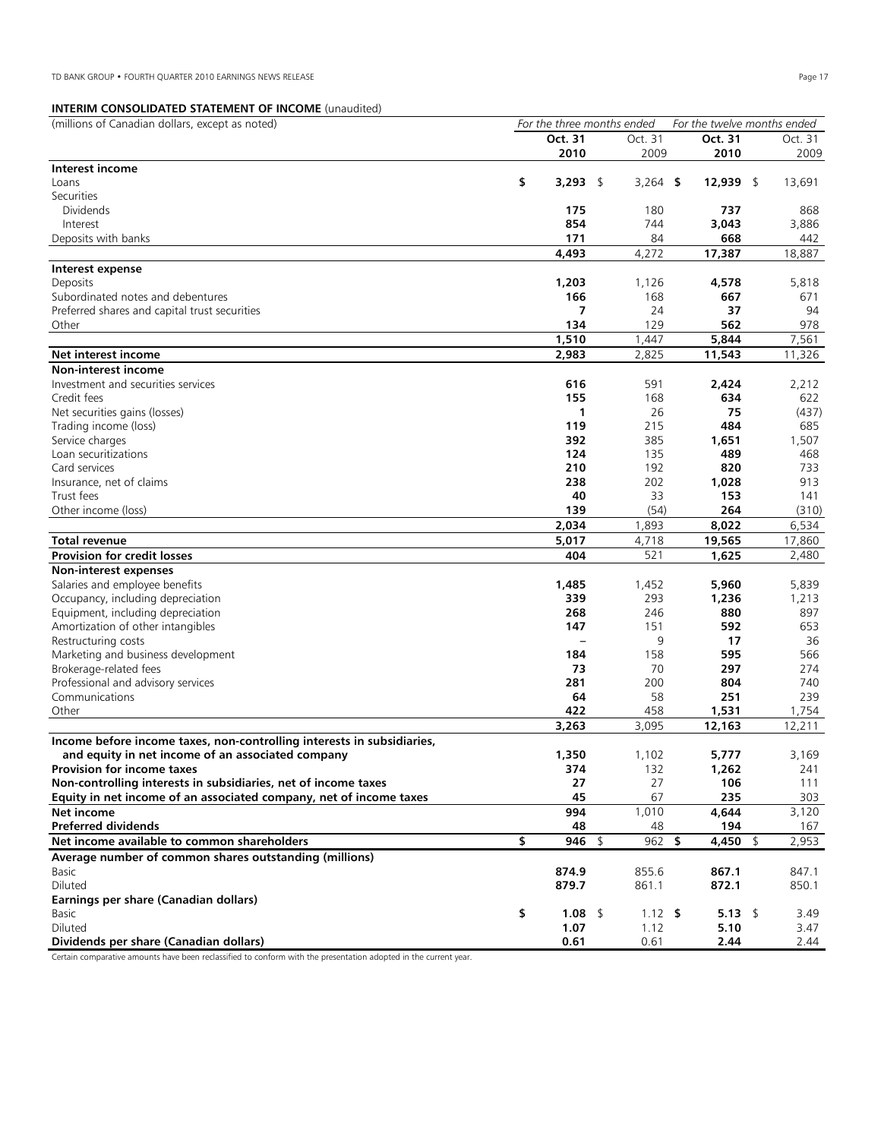# **INTERIM CONSOLIDATED STATEMENT OF INCOME** (unaudited)

| <b>INTERNIVI CONSOLIDATED STATERIERT OF INCORRE (UNIQUATED)</b>        |                            |            |                             |             |
|------------------------------------------------------------------------|----------------------------|------------|-----------------------------|-------------|
| (millions of Canadian dollars, except as noted)                        | For the three months ended |            | For the twelve months ended |             |
|                                                                        | Oct. 31                    | Oct. 31    | Oct. 31                     | Oct. 31     |
|                                                                        | 2010                       | 2009       | 2010                        | 2009        |
| Interest income                                                        |                            |            |                             |             |
| Loans                                                                  | \$<br>3,293 \$             | $3,264$ \$ | $12,939$ \$                 | 13,691      |
| Securities                                                             |                            |            |                             |             |
| <b>Dividends</b>                                                       | 175                        | 180        | 737                         | 868         |
| Interest                                                               | 854                        | 744        | 3,043                       | 3,886       |
| Deposits with banks                                                    | 171                        | 84         | 668                         | 442         |
|                                                                        | 4,493                      | 4,272      | 17,387                      | 18,887      |
|                                                                        |                            |            |                             |             |
| Interest expense                                                       |                            |            |                             |             |
| Deposits                                                               | 1,203                      | 1,126      | 4,578                       | 5,818       |
| Subordinated notes and debentures                                      | 166                        | 168        | 667                         | 671         |
| Preferred shares and capital trust securities                          | 7                          | 24         | 37                          | 94          |
| Other                                                                  | 134                        | 129        | 562                         | 978         |
|                                                                        | 1,510                      | 1,447      | 5,844                       | 7,561       |
| Net interest income                                                    | 2,983                      | 2,825      | 11,543                      | 11,326      |
| Non-interest income                                                    |                            |            |                             |             |
| Investment and securities services                                     | 616                        | 591        | 2,424                       | 2,212       |
| Credit fees                                                            | 155                        | 168        | 634                         | 622         |
| Net securities gains (losses)                                          | 1                          | 26         | 75                          | (437)       |
|                                                                        | 119                        | 215        | 484                         | 685         |
| Trading income (loss)                                                  |                            | 385        |                             |             |
| Service charges                                                        | 392                        |            | 1,651                       | 1,507       |
| Loan securitizations                                                   | 124                        | 135        | 489                         | 468         |
| Card services                                                          | 210                        | 192        | 820                         | 733         |
| Insurance, net of claims                                               | 238                        | 202        | 1,028                       | 913         |
| Trust fees                                                             | 40                         | 33         | 153                         | 141         |
| Other income (loss)                                                    | 139                        | (54)       | 264                         | (310)       |
|                                                                        | 2,034                      | 1,893      | 8,022                       | 6,534       |
| Total revenue                                                          | 5,017                      | 4,718      | 19,565                      | 17,860      |
| <b>Provision for credit losses</b>                                     | 404                        | 521        | 1,625                       | 2,480       |
| Non-interest expenses                                                  |                            |            |                             |             |
| Salaries and employee benefits                                         | 1,485                      | 1,452      | 5,960                       | 5,839       |
| Occupancy, including depreciation                                      | 339                        | 293        | 1,236                       | 1,213       |
|                                                                        | 268                        | 246        | 880                         | 897         |
| Equipment, including depreciation                                      |                            |            |                             |             |
| Amortization of other intangibles                                      | 147                        | 151        | 592                         | 653         |
| Restructuring costs                                                    |                            | 9          | 17                          | 36          |
| Marketing and business development                                     | 184                        | 158        | 595                         | 566         |
| Brokerage-related fees                                                 | 73                         | 70         | 297                         | 274         |
| Professional and advisory services                                     | 281                        | 200        | 804                         | 740         |
| Communications                                                         | 64                         | 58         | 251                         | 239         |
| Other                                                                  | 422                        | 458        | 1,531                       | 1,754       |
|                                                                        | 3,263                      | 3,095      | 12,163                      | 12,211      |
| Income before income taxes, non-controlling interests in subsidiaries, |                            |            |                             |             |
| and equity in net income of an associated company                      | 1,350                      | 1,102      | 5,777                       | 3,169       |
| Provision for income taxes                                             | 374                        | 132        | 1,262                       | 241         |
| Non-controlling interests in subsidiaries, net of income taxes         | 27                         | 27         | 106                         | 111         |
|                                                                        | 45                         | 67         | 235                         | 303         |
| Equity in net income of an associated company, net of income taxes     |                            |            |                             |             |
| Net income                                                             | 994                        | 1,010      | 4,644                       | 3,120       |
| <b>Preferred dividends</b>                                             | 48                         | 48         | 194                         | 167         |
| Net income available to common shareholders                            | \$<br>$946$ \$             | 962 \$     | 4,450                       | 2,953<br>\$ |
| Average number of common shares outstanding (millions)                 |                            |            |                             |             |
| Basic                                                                  | 874.9                      | 855.6      | 867.1                       | 847.1       |
| Diluted                                                                | 879.7                      | 861.1      | 872.1                       | 850.1       |
| Earnings per share (Canadian dollars)                                  |                            |            |                             |             |
| Basic                                                                  | \$<br>1.08 \$              | $1.12$ \$  | $5.13 \quad$                | 3.49        |
| Diluted                                                                | 1.07                       | 1.12       | 5.10                        | 3.47        |
| Dividends per share (Canadian dollars)                                 | 0.61                       | 0.61       | 2.44                        | 2.44        |
|                                                                        |                            |            |                             |             |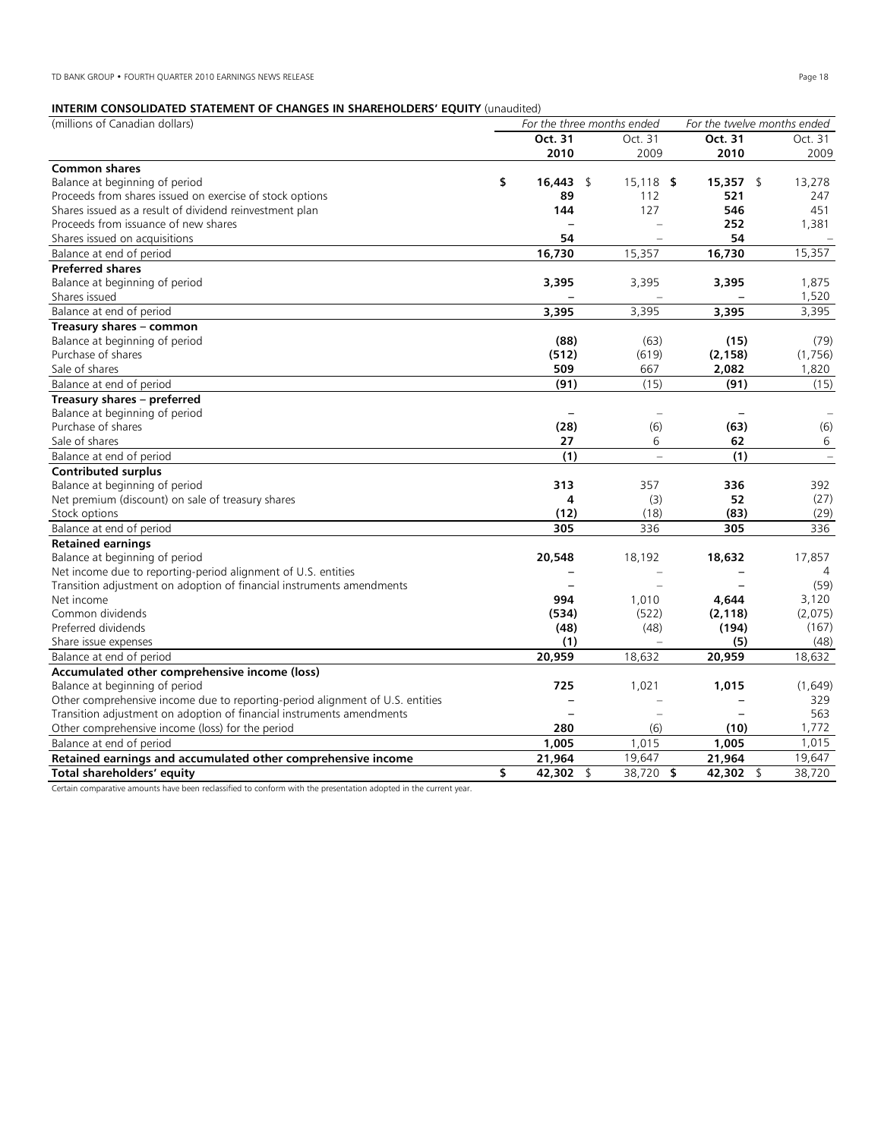# **INTERIM CONSOLIDATED STATEMENT OF CHANGES IN SHAREHOLDERS' EQUITY** (unaudited)

| (millions of Canadian dollars)                                                | For the three months ended |              | For the twelve months ended |                          |
|-------------------------------------------------------------------------------|----------------------------|--------------|-----------------------------|--------------------------|
|                                                                               | Oct. 31                    | Oct. 31      | Oct. 31                     | Oct. 31                  |
|                                                                               | 2010                       | 2009         | 2010                        | 2009                     |
| <b>Common shares</b>                                                          |                            |              |                             |                          |
| Balance at beginning of period                                                | \$<br>16,443 \$            | $15,118$ \$  | $15,357$ \$                 | 13,278                   |
| Proceeds from shares issued on exercise of stock options                      | 89                         | 112          | 521                         | 247                      |
| Shares issued as a result of dividend reinvestment plan                       | 144                        | 127          | 546                         | 451                      |
| Proceeds from issuance of new shares                                          |                            |              | 252                         | 1,381                    |
| Shares issued on acquisitions                                                 | 54                         |              | 54                          |                          |
| Balance at end of period                                                      | 16,730                     | 15,357       | 16.730                      | 15,357                   |
| <b>Preferred shares</b>                                                       |                            |              |                             |                          |
| Balance at beginning of period                                                | 3,395                      | 3,395        | 3,395                       | 1,875                    |
| Shares issued                                                                 |                            |              |                             | 1,520                    |
| Balance at end of period                                                      | 3,395                      | 3.395        | 3.395                       | 3,395                    |
| Treasury shares - common                                                      |                            |              |                             |                          |
| Balance at beginning of period                                                | (88)                       | (63)         | (15)                        | (79)                     |
| Purchase of shares                                                            | (512)                      | (619)        | (2, 158)                    | (1,756)                  |
| Sale of shares                                                                | 509                        | 667          | 2,082                       | 1,820                    |
| Balance at end of period                                                      | (91)                       | (15)         | (91)                        | (15)                     |
| Treasury shares - preferred                                                   |                            |              |                             |                          |
| Balance at beginning of period                                                |                            |              |                             |                          |
| Purchase of shares                                                            | (28)                       | (6)          | (63)                        | (6)                      |
| Sale of shares                                                                | 27                         | 6            | 62                          | 6                        |
| Balance at end of period                                                      | (1)                        | $\equiv$     | (1)                         | $\overline{\phantom{m}}$ |
| <b>Contributed surplus</b>                                                    |                            |              |                             |                          |
| Balance at beginning of period                                                | 313                        | 357          | 336                         | 392                      |
| Net premium (discount) on sale of treasury shares                             | 4                          | (3)          | 52                          | (27)                     |
| Stock options                                                                 | (12)                       | (18)         | (83)                        | (29)                     |
| Balance at end of period                                                      | 305                        | 336          | 305                         | 336                      |
| <b>Retained earnings</b>                                                      |                            |              |                             |                          |
| Balance at beginning of period                                                | 20,548                     | 18,192       | 18,632                      | 17,857                   |
| Net income due to reporting-period alignment of U.S. entities                 |                            |              |                             | 4                        |
| Transition adjustment on adoption of financial instruments amendments         |                            |              |                             | (59)                     |
| Net income                                                                    | 994                        | 1,010        | 4,644                       | 3,120                    |
| Common dividends                                                              | (534)                      | (522)        | (2, 118)                    | (2,075)                  |
| Preferred dividends                                                           | (48)                       | (48)         | (194)                       | (167)                    |
| Share issue expenses                                                          | (1)                        |              | (5)                         | (48)                     |
| Balance at end of period                                                      | 20,959                     | 18,632       | 20,959                      | 18,632                   |
| Accumulated other comprehensive income (loss)                                 |                            |              |                             |                          |
| Balance at beginning of period                                                | 725                        | 1,021        | 1,015                       | (1,649)                  |
| Other comprehensive income due to reporting-period alignment of U.S. entities |                            |              |                             | 329                      |
| Transition adjustment on adoption of financial instruments amendments         |                            |              |                             | 563                      |
| Other comprehensive income (loss) for the period                              | 280                        | (6)          | (10)                        | 1,772                    |
| Balance at end of period                                                      | 1,005                      | 1,015        | 1,005                       | 1,015                    |
| Retained earnings and accumulated other comprehensive income                  | 21,964                     | 19,647       | 21,964                      | 19,647                   |
| Total shareholders' equity                                                    | \$<br>42,302               | \$<br>38,720 | \$<br>42,302 \$             | 38,720                   |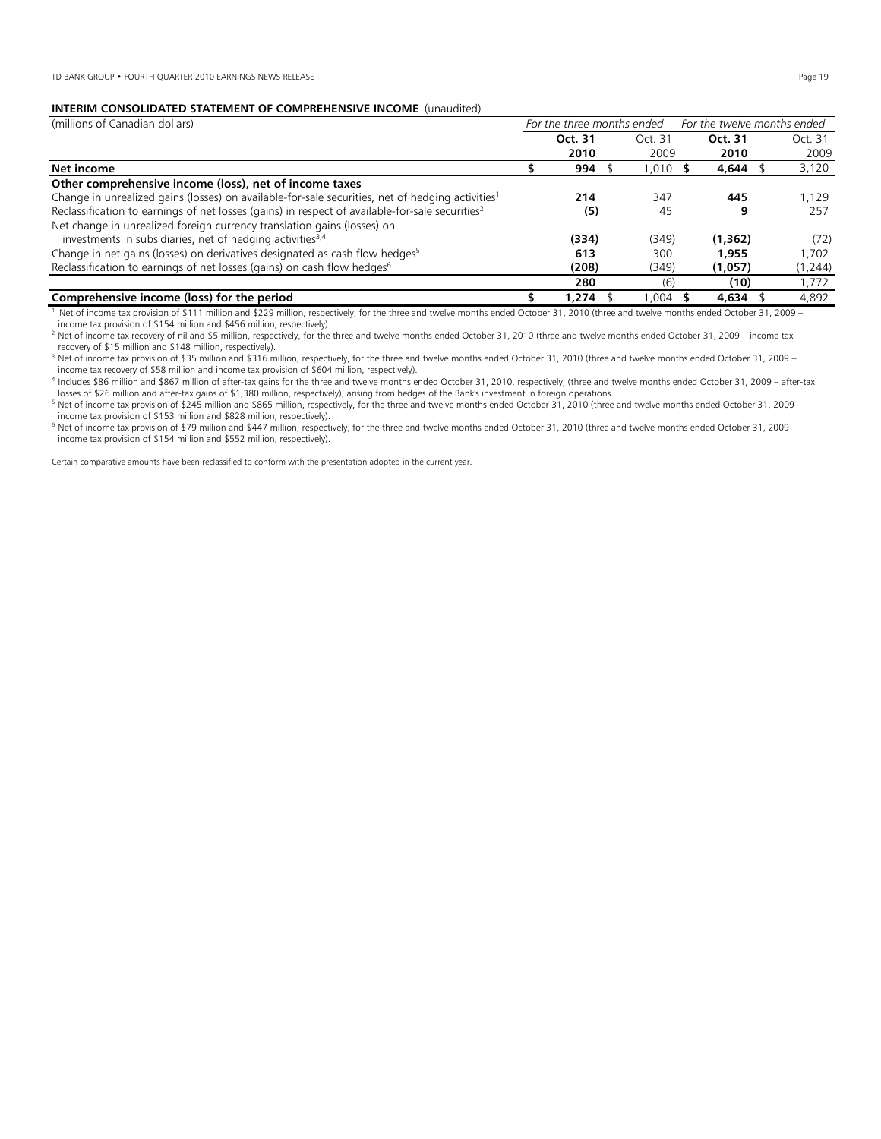## **INTERIM CONSOLIDATED STATEMENT OF COMPREHENSIVE INCOME** (unaudited)

| (millions of Canadian dollars)                                                                               | For the three months ended |         | For the twelve months ended |          |         |  |
|--------------------------------------------------------------------------------------------------------------|----------------------------|---------|-----------------------------|----------|---------|--|
|                                                                                                              |                            | Oct. 31 | Oct. 31                     | Oct. 31  | Oct. 31 |  |
|                                                                                                              |                            | 2010    | 2009                        | 2010     | 2009    |  |
| Net income                                                                                                   |                            | 994     | 1,010 \$                    | 4,644    | 3,120   |  |
| Other comprehensive income (loss), net of income taxes                                                       |                            |         |                             |          |         |  |
| Change in unrealized gains (losses) on available-for-sale securities, net of hedging activities <sup>1</sup> |                            | 214     | 347                         | 445      | 1.129   |  |
| Reclassification to earnings of net losses (gains) in respect of available-for-sale securities <sup>2</sup>  |                            | (5)     | 45                          | 9        | 257     |  |
| Net change in unrealized foreign currency translation gains (losses) on                                      |                            |         |                             |          |         |  |
| investments in subsidiaries, net of hedging activities <sup>3,4</sup>                                        |                            | (334)   | (349)                       | (1, 362) | (72)    |  |
| Change in net gains (losses) on derivatives designated as cash flow hedges <sup>5</sup>                      |                            | 613     | 300                         | 1,955    | 1.702   |  |
| Reclassification to earnings of net losses (gains) on cash flow hedges <sup>6</sup>                          |                            | (208)   | (1,057)                     | (1,244)  |         |  |
|                                                                                                              |                            | 280     | (6)                         | (10)     | 1,772   |  |
| Comprehensive income (loss) for the period                                                                   |                            | 1.274   | 1.004                       | 4,634    | 4.892   |  |

1 Net of income tax provision of \$111 million and \$229 million, respectively, for the three and twelve months ended October 31, 2010 (three and twelve months ended October 31, 2009 income tax provision of \$154 million and \$456 million, respectively).

<sup>2</sup> Net of income tax recovery of nil and \$5 million, respectively, for the three and twelve months ended October 31, 2010 (three and twelve months ended October 31, 2009 – income tax recovery of \$15 million and \$148 million, respectively).

<sup>3</sup> Net of income tax provision of \$35 million and \$316 million, respectively, for the three and twelve months ended October 31, 2010 (three and twelve months ended October 31, 2009 – income tax recovery of \$58 million and income tax provision of \$604 million, respectively).

4 Includes \$86 million and \$867 million of after-tax gains for the three and twelve months ended October 31, 2010, respectively, (three and twelve months ended October 31, 2009 – after-tax losses of \$26 million and after-tax gains of \$1,380 million, respectively), arising from hedges of the Bank's investment in foreign operations.<br><sup>5</sup> Net of income tax provision of \$245 million and \$865 million, respectively

income tax provision of \$153 million and \$828 million, respectively).

6 Net of income tax provision of \$79 million and \$447 million, respectively, for the three and twelve months ended October 31, 2010 (three and twelve months ended October 31, 2009 – income tax provision of \$154 million and \$552 million, respectively).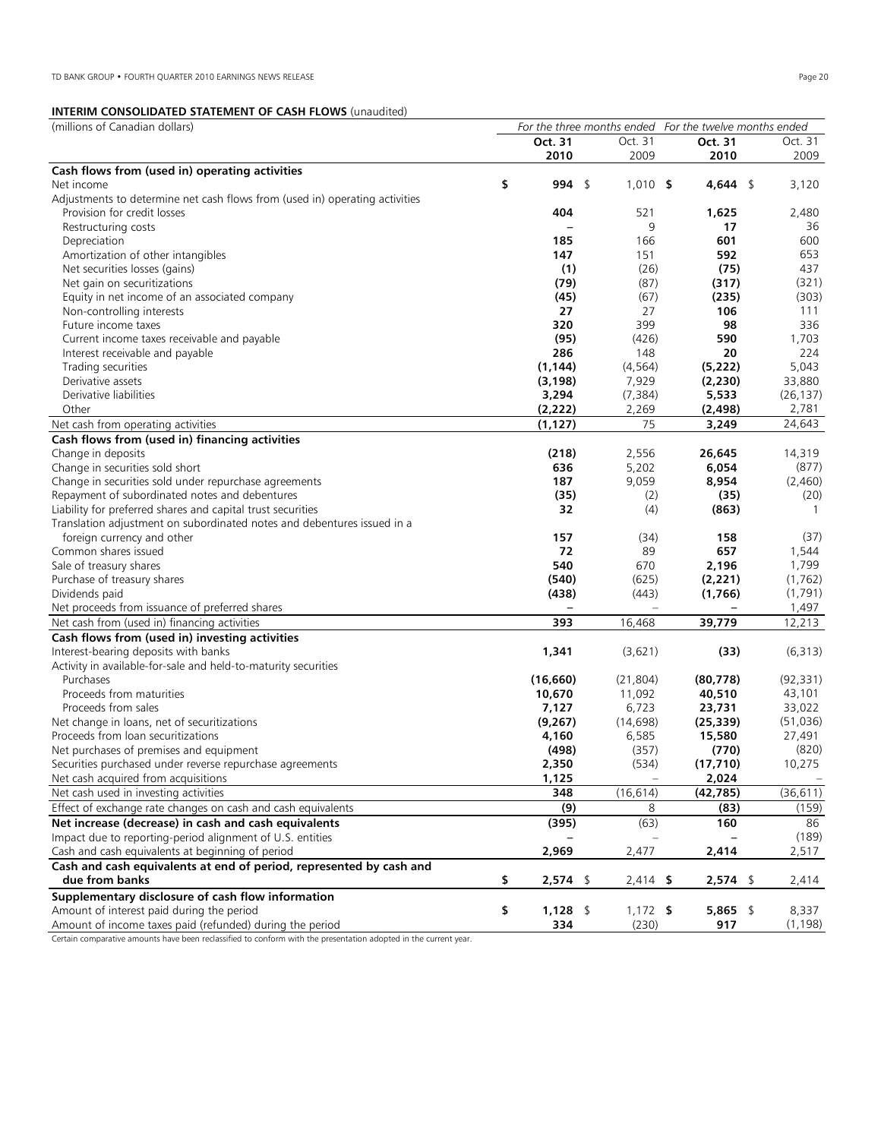# **INTERIM CONSOLIDATED STATEMENT OF CASH FLOWS** (unaudited)

|                                                                             | Oct. 31          | Oct. 31    | Oct. 31    | Oct. 31      |
|-----------------------------------------------------------------------------|------------------|------------|------------|--------------|
|                                                                             | 2010             | 2009       | 2010       | 2009         |
| Cash flows from (used in) operating activities                              |                  |            |            |              |
| Net income                                                                  | \$<br>994 \$     | $1,010$ \$ | 4,644 \$   | 3,120        |
| Adjustments to determine net cash flows from (used in) operating activities |                  |            |            |              |
| Provision for credit losses                                                 | 404              | 521        | 1,625      | 2,480        |
| Restructuring costs                                                         |                  | 9          | 17         | 36           |
| Depreciation                                                                | 185              | 166        | 601        | 600          |
| Amortization of other intangibles                                           | 147              | 151        | 592        | 653          |
| Net securities losses (gains)                                               | (1)              | (26)       | (75)       | 437          |
| Net gain on securitizations                                                 | (79)             | (87)       | (317)      | (321)        |
| Equity in net income of an associated company                               | (45)             | (67)       | (235)      | (303)        |
| Non-controlling interests                                                   | 27               | 27         | 106        | 111          |
| Future income taxes                                                         | 320              | 399        | 98         | 336          |
|                                                                             | (95)             | (426)      | 590        | 1,703        |
| Current income taxes receivable and payable                                 |                  |            | 20         | 224          |
| Interest receivable and payable                                             | 286              | 148        |            |              |
| Trading securities                                                          | (1, 144)         | (4, 564)   | (5, 222)   | 5,043        |
| Derivative assets                                                           | (3, 198)         | 7,929      | (2, 230)   | 33,880       |
| Derivative liabilities                                                      | 3,294            | (7, 384)   | 5,533      | (26, 137)    |
| Other                                                                       | (2, 222)         | 2,269      | (2, 498)   | 2,781        |
| Net cash from operating activities                                          | (1, 127)         | 75         | 3,249      | 24,643       |
| Cash flows from (used in) financing activities                              |                  |            |            |              |
| Change in deposits                                                          | (218)            | 2,556      | 26,645     | 14,319       |
| Change in securities sold short                                             | 636              | 5,202      | 6,054      | (877)        |
| Change in securities sold under repurchase agreements                       | 187              | 9,059      | 8,954      | (2,460)      |
| Repayment of subordinated notes and debentures                              | (35)             | (2)        | (35)       | (20)         |
| Liability for preferred shares and capital trust securities                 | 32               | (4)        | (863)      | $\mathbf{1}$ |
| Translation adjustment on subordinated notes and debentures issued in a     |                  |            |            |              |
| foreign currency and other                                                  | 157              | (34)       | 158        | (37)         |
| Common shares issued                                                        | 72               | 89         | 657        | 1,544        |
| Sale of treasury shares                                                     | 540              | 670        | 2,196      | 1,799        |
| Purchase of treasury shares                                                 | (540)            | (625)      | (2, 221)   | (1, 762)     |
| Dividends paid                                                              | (438)            | (443)      | (1,766)    | (1,791)      |
| Net proceeds from issuance of preferred shares                              |                  |            |            | 1,497        |
| Net cash from (used in) financing activities                                | 393              | 16,468     | 39,779     | 12,213       |
| Cash flows from (used in) investing activities                              |                  |            |            |              |
| Interest-bearing deposits with banks                                        | 1,341            | (3,621)    | (33)       | (6, 313)     |
| Activity in available-for-sale and held-to-maturity securities              |                  |            |            |              |
| Purchases                                                                   | (16, 660)        | (21, 804)  | (80, 778)  | (92, 331)    |
| Proceeds from maturities                                                    | 10,670           | 11,092     | 40,510     | 43,101       |
| Proceeds from sales                                                         | 7,127            | 6,723      | 23,731     | 33,022       |
| Net change in loans, net of securitizations                                 | (9,267)          | (14, 698)  | (25, 339)  | (51, 036)    |
| Proceeds from loan securitizations                                          | 4,160            | 6,585      | 15,580     | 27,491       |
| Net purchases of premises and equipment                                     | (498)            | (357)      | (770)      | (820)        |
| Securities purchased under reverse repurchase agreements                    |                  | (534)      | (17, 710)  |              |
|                                                                             | 2,350            |            |            | 10,275       |
| Net cash acquired from acquisitions                                         | 1,125            |            | 2,024      |              |
| Net cash used in investing activities                                       | 348              | (16, 614)  | (42, 785)  | (36, 611)    |
| Effect of exchange rate changes on cash and cash equivalents                | (9)              | 8          | (83)       | (159)        |
| Net increase (decrease) in cash and cash equivalents                        | (395)            | (63)       | 160        | 86           |
| Impact due to reporting-period alignment of U.S. entities                   |                  |            |            | (189)        |
| Cash and cash equivalents at beginning of period                            | 2,969            | 2,477      | 2,414      | 2,517        |
| Cash and cash equivalents at end of period, represented by cash and         |                  |            |            |              |
| due from banks                                                              | \$<br>$2,574$ \$ | $2,414$ \$ | $2,574$ \$ | 2,414        |
| Supplementary disclosure of cash flow information                           |                  |            |            |              |
| Amount of interest paid during the period                                   | \$<br>$1,128$ \$ | $1,172$ \$ | $5,865$ \$ | 8,337        |
| Amount of income taxes paid (refunded) during the period                    | 334              | (230)      | 917        | (1, 198)     |

Certain comparative amounts have been reclassified to conform with the presentation adopted in the current year.

(millions of Canadian dollars) *For the three months ended For the twelve months ended*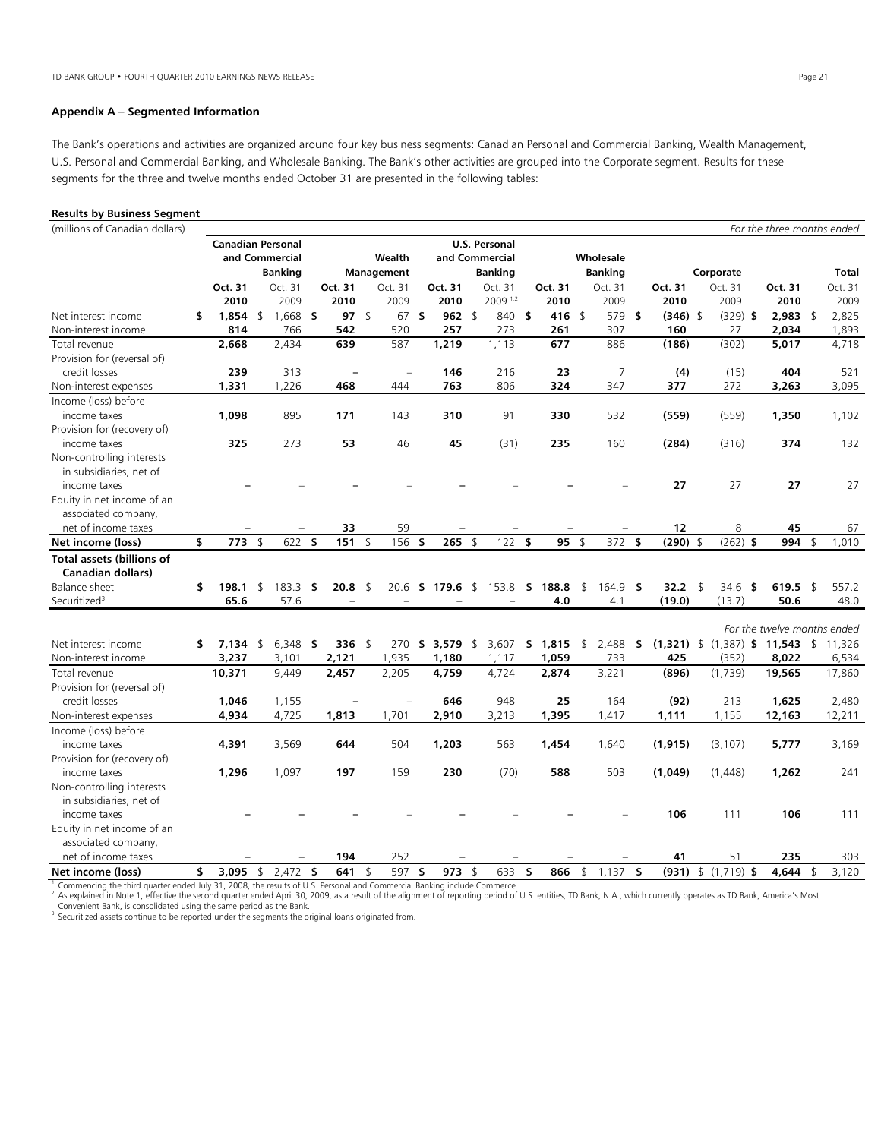# **Appendix A – Segmented Information**

The Bank's operations and activities are organized around four key business segments: Canadian Personal and Commercial Banking, Wealth Management, U.S. Personal and Commercial Banking, and Wholesale Banking. The Bank's other activities are grouped into the Corporate segment. Results for these segments for the three and twelve months ended October 31 are presented in the following tables:

| <b>Results by Business Segment</b>                                                                                                                                                                                                                                                                                                                                                                                                                                                                                                                |                          |                      |      |                   |               |                   |     |            |                      |      |            |                    |                            |                                                 |                              |                |                             |
|---------------------------------------------------------------------------------------------------------------------------------------------------------------------------------------------------------------------------------------------------------------------------------------------------------------------------------------------------------------------------------------------------------------------------------------------------------------------------------------------------------------------------------------------------|--------------------------|----------------------|------|-------------------|---------------|-------------------|-----|------------|----------------------|------|------------|--------------------|----------------------------|-------------------------------------------------|------------------------------|----------------|-----------------------------|
| (millions of Canadian dollars)                                                                                                                                                                                                                                                                                                                                                                                                                                                                                                                    |                          |                      |      |                   |               |                   |     |            |                      |      |            |                    |                            |                                                 | For the three months ended   |                |                             |
|                                                                                                                                                                                                                                                                                                                                                                                                                                                                                                                                                   | <b>Canadian Personal</b> |                      |      |                   |               |                   |     |            | <b>U.S. Personal</b> |      |            |                    |                            |                                                 |                              |                |                             |
|                                                                                                                                                                                                                                                                                                                                                                                                                                                                                                                                                   |                          | and Commercial       |      |                   |               | Wealth            |     |            | and Commercial       |      |            | Wholesale          |                            |                                                 |                              |                |                             |
|                                                                                                                                                                                                                                                                                                                                                                                                                                                                                                                                                   |                          | <b>Banking</b>       |      |                   |               | Management        |     |            | <b>Banking</b>       |      |            | <b>Banking</b>     |                            | Corporate                                       |                              |                | <b>Total</b>                |
|                                                                                                                                                                                                                                                                                                                                                                                                                                                                                                                                                   | Oct. 31                  | Oct. 31              |      | Oct. 31           |               | Oct. 31           |     | Oct. 31    | Oct. 31              |      | Oct. 31    | Oct. 31            | Oct. 31                    | Oct. 31                                         | Oct. 31                      |                | Oct. 31                     |
|                                                                                                                                                                                                                                                                                                                                                                                                                                                                                                                                                   | 2010                     | 2009                 |      | 2010              |               | 2009              |     | 2010       | 2009 1,2             |      | 2010       | 2009               | 2010                       | 2009                                            | 2010                         |                | 2009                        |
| Net interest income                                                                                                                                                                                                                                                                                                                                                                                                                                                                                                                               | \$<br>1,854              | \$<br>$1,668$ \$     |      | 97                | $\mathsf{\$}$ | 67                | \$  | 962        | \$<br>840            | \$   | 416 \$     | 579                | \$<br>$(346)$ \$           | $(329)$ \$                                      | 2,983                        | \$             | 2,825                       |
| Non-interest income                                                                                                                                                                                                                                                                                                                                                                                                                                                                                                                               | 814                      | 766                  |      | 542               |               | 520               |     | 257        | 273                  |      | 261        | 307                | 160                        | 27                                              | 2,034                        |                | 1,893                       |
| Total revenue                                                                                                                                                                                                                                                                                                                                                                                                                                                                                                                                     | 2.668                    | 2.434                |      | 639               |               | 587               |     | 1.219      | 1.113                |      | 677        | 886                | (186)                      | (302)                                           | 5,017                        |                | 4,718                       |
| Provision for (reversal of)                                                                                                                                                                                                                                                                                                                                                                                                                                                                                                                       |                          |                      |      |                   |               |                   |     |            |                      |      |            |                    |                            |                                                 |                              |                |                             |
| credit losses                                                                                                                                                                                                                                                                                                                                                                                                                                                                                                                                     | 239                      | 313                  |      |                   |               |                   |     | 146        | 216                  |      | 23         | 7                  | (4)                        | (15)                                            | 404                          |                | 521                         |
| Non-interest expenses                                                                                                                                                                                                                                                                                                                                                                                                                                                                                                                             | 1,331                    | 1,226                |      | 468               |               | 444               |     | 763        | 806                  |      | 324        | 347                | 377                        | 272                                             | 3,263                        |                | 3,095                       |
| Income (loss) before                                                                                                                                                                                                                                                                                                                                                                                                                                                                                                                              |                          |                      |      |                   |               |                   |     |            |                      |      |            |                    |                            |                                                 |                              |                |                             |
| income taxes                                                                                                                                                                                                                                                                                                                                                                                                                                                                                                                                      | 1,098                    | 895                  |      | 171               |               | 143               |     | 310        | 91                   |      | 330        | 532                | (559)                      | (559)                                           | 1,350                        |                | 1,102                       |
| Provision for (recovery of)                                                                                                                                                                                                                                                                                                                                                                                                                                                                                                                       |                          |                      |      |                   |               |                   |     |            |                      |      |            |                    |                            |                                                 |                              |                |                             |
| income taxes                                                                                                                                                                                                                                                                                                                                                                                                                                                                                                                                      | 325                      | 273                  |      | 53                |               | 46                |     | 45         | (31)                 |      | 235        | 160                | (284)                      | (316)                                           | 374                          |                | 132                         |
| Non-controlling interests                                                                                                                                                                                                                                                                                                                                                                                                                                                                                                                         |                          |                      |      |                   |               |                   |     |            |                      |      |            |                    |                            |                                                 |                              |                |                             |
| in subsidiaries, net of                                                                                                                                                                                                                                                                                                                                                                                                                                                                                                                           |                          |                      |      |                   |               |                   |     |            |                      |      |            |                    |                            |                                                 |                              |                |                             |
| income taxes                                                                                                                                                                                                                                                                                                                                                                                                                                                                                                                                      |                          |                      |      |                   |               |                   |     |            |                      |      |            |                    | 27                         | 27                                              | 27                           |                | 27                          |
| Equity in net income of an                                                                                                                                                                                                                                                                                                                                                                                                                                                                                                                        |                          |                      |      |                   |               |                   |     |            |                      |      |            |                    |                            |                                                 |                              |                |                             |
| associated company,                                                                                                                                                                                                                                                                                                                                                                                                                                                                                                                               |                          |                      |      |                   |               |                   |     |            |                      |      |            |                    |                            |                                                 |                              |                |                             |
| net of income taxes                                                                                                                                                                                                                                                                                                                                                                                                                                                                                                                               |                          |                      |      | 33                |               | 59                |     |            |                      |      |            |                    | 12                         | 8                                               | 45                           |                | 67                          |
| Net income (loss)                                                                                                                                                                                                                                                                                                                                                                                                                                                                                                                                 | \$<br>773                | \$<br>622            | - \$ | 151               | $\sqrt{2}$    | 156 \$            |     | 265        | \$<br>122            | -\$  | $95$ \$    | 372 \$             | $(290)$ \$                 | $(262)$ \$                                      | 994                          | \$             | 1,010                       |
| <b>Total assets (billions of</b>                                                                                                                                                                                                                                                                                                                                                                                                                                                                                                                  |                          |                      |      |                   |               |                   |     |            |                      |      |            |                    |                            |                                                 |                              |                |                             |
| <b>Canadian dollars)</b>                                                                                                                                                                                                                                                                                                                                                                                                                                                                                                                          |                          |                      |      |                   |               |                   |     |            |                      |      |            |                    |                            |                                                 |                              |                |                             |
| Balance sheet                                                                                                                                                                                                                                                                                                                                                                                                                                                                                                                                     | \$<br>198.1              | \$<br>183.3          | - \$ | $20.8$ \$         |               | 20.6              | -\$ | 179.6 \$   | 153.8                | - \$ | 188.8      | \$<br>164.9 \$     | 32.2 \$                    | 34.6<br>- \$                                    | 619.5 \$                     |                | 557.2                       |
| Securitized <sup>3</sup>                                                                                                                                                                                                                                                                                                                                                                                                                                                                                                                          | 65.6                     | 57.6                 |      |                   |               |                   |     |            |                      |      | 4.0        | 4.1                | (19.0)                     | (13.7)                                          | 50.6                         |                | 48.0                        |
|                                                                                                                                                                                                                                                                                                                                                                                                                                                                                                                                                   |                          |                      |      |                   |               |                   |     |            |                      |      |            |                    |                            |                                                 |                              |                |                             |
|                                                                                                                                                                                                                                                                                                                                                                                                                                                                                                                                                   |                          |                      |      |                   |               |                   |     |            |                      |      |            |                    |                            |                                                 |                              |                | For the twelve months ended |
| Net interest income                                                                                                                                                                                                                                                                                                                                                                                                                                                                                                                               | \$<br>7,134 \$           | $6,348$ \$           |      | 336 \$            |               | 270               | \$  | 3,579 \$   | 3,607                |      | \$1,815    | \$<br>2,488        | \$                         | $(1,321)$ \$ $(1,387)$ \$ 11,543 \$             |                              |                | 11,326                      |
| Non-interest income                                                                                                                                                                                                                                                                                                                                                                                                                                                                                                                               | 3,237                    | 3,101                |      | 2,121             |               | 1,935             |     | 1,180      | 1,117                |      | 1,059      | 733                | 425                        | (352)                                           | 8,022                        |                | 6,534                       |
| Total revenue                                                                                                                                                                                                                                                                                                                                                                                                                                                                                                                                     | 10,371                   | 9,449                |      | 2,457             |               | 2,205             |     | 4,759      | 4,724                |      | 2,874      | 3,221              | (896)                      | (1,739)                                         | 19,565                       |                | 17,860                      |
| Provision for (reversal of)                                                                                                                                                                                                                                                                                                                                                                                                                                                                                                                       |                          |                      |      |                   |               |                   |     |            |                      |      |            |                    |                            |                                                 |                              |                |                             |
| credit losses                                                                                                                                                                                                                                                                                                                                                                                                                                                                                                                                     | 1,046                    | 1,155                |      |                   |               |                   |     | 646        | 948                  |      | 25         | 164                | (92)                       | 213                                             | 1,625                        |                | 2,480                       |
| Non-interest expenses                                                                                                                                                                                                                                                                                                                                                                                                                                                                                                                             | 4,934                    | 4,725                |      | 1,813             |               | 1,701             |     | 2,910      | 3,213                |      | 1,395      | 1,417              | 1,111                      | 1,155                                           | 12,163                       |                | 12,211                      |
| Income (loss) before                                                                                                                                                                                                                                                                                                                                                                                                                                                                                                                              |                          |                      |      |                   |               |                   |     |            |                      |      |            |                    |                            |                                                 |                              |                |                             |
| income taxes                                                                                                                                                                                                                                                                                                                                                                                                                                                                                                                                      | 4,391                    | 3,569                |      | 644               |               | 504               |     | 1,203      | 563                  |      | 1,454      | 1,640              | (1, 915)                   | (3, 107)                                        | 5,777                        |                | 3,169                       |
| Provision for (recovery of)                                                                                                                                                                                                                                                                                                                                                                                                                                                                                                                       |                          |                      |      |                   |               |                   |     |            |                      |      |            |                    |                            |                                                 |                              |                |                             |
|                                                                                                                                                                                                                                                                                                                                                                                                                                                                                                                                                   |                          |                      |      |                   |               |                   |     |            |                      |      |            |                    |                            |                                                 |                              |                | 241                         |
|                                                                                                                                                                                                                                                                                                                                                                                                                                                                                                                                                   |                          |                      |      |                   |               |                   |     |            |                      |      |            |                    |                            |                                                 |                              |                |                             |
|                                                                                                                                                                                                                                                                                                                                                                                                                                                                                                                                                   |                          |                      |      |                   |               |                   |     |            |                      |      |            |                    |                            |                                                 |                              |                |                             |
|                                                                                                                                                                                                                                                                                                                                                                                                                                                                                                                                                   |                          |                      |      |                   |               |                   |     |            |                      |      |            |                    |                            |                                                 |                              |                | 111                         |
|                                                                                                                                                                                                                                                                                                                                                                                                                                                                                                                                                   |                          |                      |      |                   |               |                   |     |            |                      |      |            |                    |                            |                                                 |                              |                |                             |
|                                                                                                                                                                                                                                                                                                                                                                                                                                                                                                                                                   |                          |                      |      |                   |               |                   |     |            |                      |      |            |                    |                            |                                                 |                              |                |                             |
|                                                                                                                                                                                                                                                                                                                                                                                                                                                                                                                                                   |                          |                      |      |                   |               |                   |     |            |                      |      |            |                    |                            |                                                 |                              |                | 303                         |
|                                                                                                                                                                                                                                                                                                                                                                                                                                                                                                                                                   |                          |                      |      |                   |               |                   |     |            |                      |      |            |                    |                            |                                                 |                              |                | 3,120                       |
| income taxes<br>Non-controlling interests<br>in subsidiaries, net of<br>income taxes<br>Equity in net income of an<br>associated company,<br>net of income taxes<br>Net income (loss)<br>Commencing the third quarter ended July 31, 2008, the results of U.S. Personal and Commercial Banking include Commerce.<br><sup>2</sup> As explained in Note 1, effective the second quarter ended April 30, 2009, as a result of the alignment of reporting period of U.S. entities, TD Bank, N.A., which currently operates as TD Bank, America's Most | \$<br>1,296<br>3,095     | \$<br>1,097<br>2,472 | \$   | 197<br>194<br>641 | \$            | 159<br>252<br>597 | \$  | 230<br>973 | \$<br>(70)<br>633    | \$   | 588<br>866 | \$<br>503<br>1,137 | \$<br>(1,049)<br>106<br>41 | (1,448)<br>111<br>51<br>$(931)$ \$ $(1,719)$ \$ | 1,262<br>106<br>235<br>4,644 | $\mathfrak{L}$ |                             |

Convenient Bank, is consolidated using the same period as the Bank.

 $\beta$  Securitized assets continue to be reported under the segments the original loans originated from.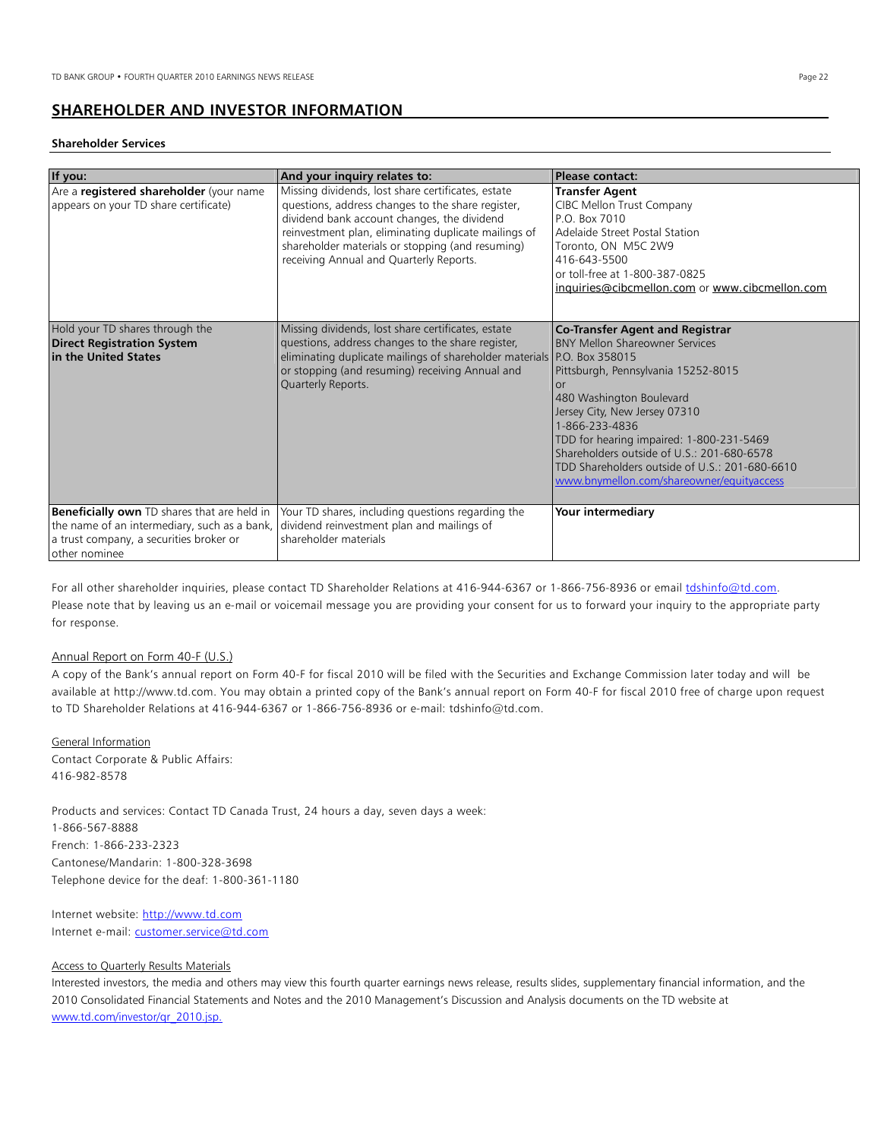# **SHAREHOLDER AND INVESTOR INFORMATION**

#### **Shareholder Services**

| If you:                                                                                                                                                        | And your inquiry relates to:                                                                                                                                                                                                                                                                                  | Please contact:                                                                                                                                                                                                                                                                                                                                                                                              |
|----------------------------------------------------------------------------------------------------------------------------------------------------------------|---------------------------------------------------------------------------------------------------------------------------------------------------------------------------------------------------------------------------------------------------------------------------------------------------------------|--------------------------------------------------------------------------------------------------------------------------------------------------------------------------------------------------------------------------------------------------------------------------------------------------------------------------------------------------------------------------------------------------------------|
| Are a registered shareholder (your name<br>appears on your TD share certificate)                                                                               | Missing dividends, lost share certificates, estate<br>questions, address changes to the share register,<br>dividend bank account changes, the dividend<br>reinvestment plan, eliminating duplicate mailings of<br>shareholder materials or stopping (and resuming)<br>receiving Annual and Quarterly Reports. | <b>Transfer Agent</b><br>CIBC Mellon Trust Company<br>P.O. Box 7010<br>Adelaide Street Postal Station<br>Toronto, ON M5C 2W9<br>416-643-5500<br>or toll-free at 1-800-387-0825<br>inquiries@cibcmellon.com or www.cibcmellon.com                                                                                                                                                                             |
| Hold your TD shares through the<br><b>Direct Registration System</b><br>in the United States                                                                   | Missing dividends, lost share certificates, estate<br>questions, address changes to the share register,<br>eliminating duplicate mailings of shareholder materials P.O. Box 358015<br>or stopping (and resuming) receiving Annual and<br>Quarterly Reports.                                                   | <b>Co-Transfer Agent and Registrar</b><br><b>BNY Mellon Shareowner Services</b><br>Pittsburgh, Pennsylvania 15252-8015<br>$\Omega$ r<br>480 Washington Boulevard<br>Jersey City, New Jersey 07310<br>1-866-233-4836<br>TDD for hearing impaired: 1-800-231-5469<br>Shareholders outside of U.S.: 201-680-6578<br>TDD Shareholders outside of U.S.: 201-680-6610<br>www.bnymellon.com/shareowner/equityaccess |
| <b>Beneficially own</b> TD shares that are held in<br>the name of an intermediary, such as a bank,<br>a trust company, a securities broker or<br>other nominee | Your TD shares, including questions regarding the<br>dividend reinvestment plan and mailings of<br>shareholder materials                                                                                                                                                                                      | Your intermediary                                                                                                                                                                                                                                                                                                                                                                                            |

For all other shareholder inquiries, please contact TD Shareholder Relations at 416-944-6367 or 1-866-756-8936 or email tdshinfo@td.com. Please note that by leaving us an e-mail or voicemail message you are providing your consent for us to forward your inquiry to the appropriate party for response.

## Annual Report on Form 40-F (U.S.)

A copy of the Bank's annual report on Form 40-F for fiscal 2010 will be filed with the Securities and Exchange Commission later today and will be available at http://www.td.com. You may obtain a printed copy of the Bank's annual report on Form 40-F for fiscal 2010 free of charge upon request to TD Shareholder Relations at 416-944-6367 or 1-866-756-8936 or e-mail: tdshinfo@td.com.

General Information Contact Corporate & Public Affairs: 416-982-8578

Products and services: Contact TD Canada Trust, 24 hours a day, seven days a week: 1-866-567-8888 French: 1-866-233-2323 Cantonese/Mandarin: 1-800-328-3698 Telephone device for the deaf: 1-800-361-1180

Internet website: http://www.td.com Internet e-mail: customer.service@td.com

# **Access to Quarterly Results Materials**

Interested investors, the media and others may view this fourth quarter earnings news release, results slides, supplementary financial information, and the 2010 Consolidated Financial Statements and Notes and the 2010 Management's Discussion and Analysis documents on the TD website at www.td.com/investor/qr\_2010.jsp.